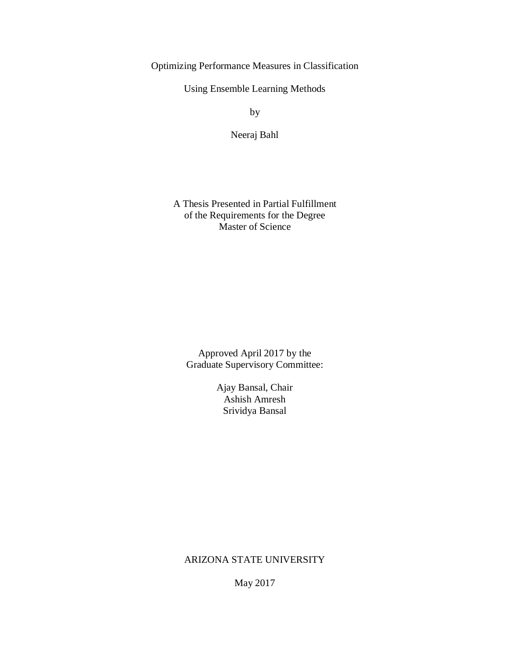Optimizing Performance Measures in Classification

Using Ensemble Learning Methods

by

Neeraj Bahl

A Thesis Presented in Partial Fulfillment of the Requirements for the Degree Master of Science

Approved April 2017 by the Graduate Supervisory Committee:

> Ajay Bansal, Chair Ashish Amresh Srividya Bansal

ARIZONA STATE UNIVERSITY

May 2017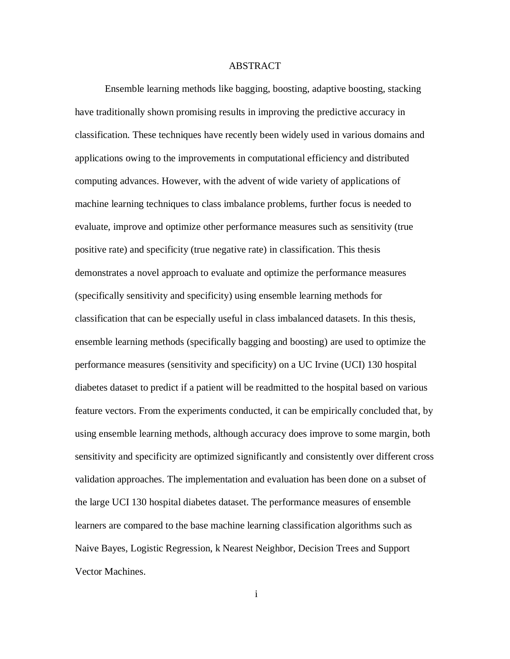### **ABSTRACT**

Ensemble learning methods like bagging, boosting, adaptive boosting, stacking have traditionally shown promising results in improving the predictive accuracy in classification. These techniques have recently been widely used in various domains and applications owing to the improvements in computational efficiency and distributed computing advances. However, with the advent of wide variety of applications of machine learning techniques to class imbalance problems, further focus is needed to evaluate, improve and optimize other performance measures such as sensitivity (true positive rate) and specificity (true negative rate) in classification. This thesis demonstrates a novel approach to evaluate and optimize the performance measures (specifically sensitivity and specificity) using ensemble learning methods for classification that can be especially useful in class imbalanced datasets. In this thesis, ensemble learning methods (specifically bagging and boosting) are used to optimize the performance measures (sensitivity and specificity) on a UC Irvine (UCI) 130 hospital diabetes dataset to predict if a patient will be readmitted to the hospital based on various feature vectors. From the experiments conducted, it can be empirically concluded that, by using ensemble learning methods, although accuracy does improve to some margin, both sensitivity and specificity are optimized significantly and consistently over different cross validation approaches. The implementation and evaluation has been done on a subset of the large UCI 130 hospital diabetes dataset. The performance measures of ensemble learners are compared to the base machine learning classification algorithms such as Naive Bayes, Logistic Regression, k Nearest Neighbor, Decision Trees and Support Vector Machines.

i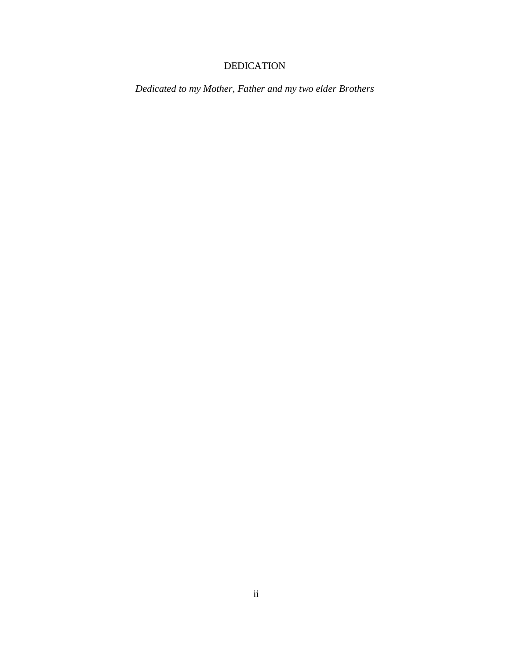# DEDICATION

*Dedicated to my Mother, Father and my two elder Brothers*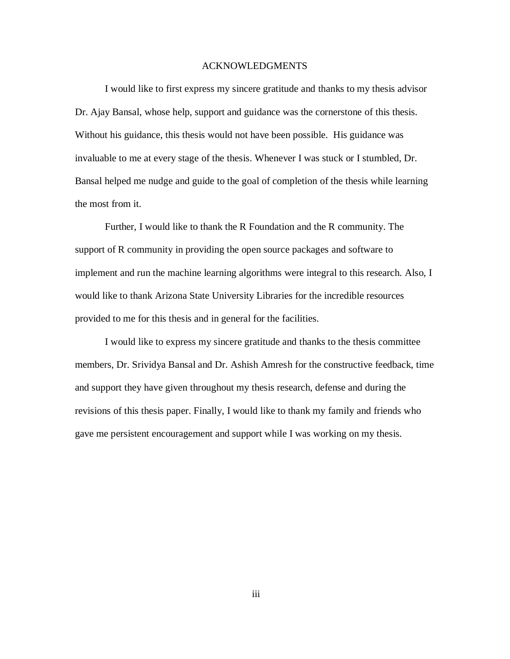# ACKNOWLEDGMENTS

I would like to first express my sincere gratitude and thanks to my thesis advisor Dr. Ajay Bansal, whose help, support and guidance was the cornerstone of this thesis. Without his guidance, this thesis would not have been possible. His guidance was invaluable to me at every stage of the thesis. Whenever I was stuck or I stumbled, Dr. Bansal helped me nudge and guide to the goal of completion of the thesis while learning the most from it.

Further, I would like to thank the R Foundation and the R community. The support of R community in providing the open source packages and software to implement and run the machine learning algorithms were integral to this research. Also, I would like to thank Arizona State University Libraries for the incredible resources provided to me for this thesis and in general for the facilities.

I would like to express my sincere gratitude and thanks to the thesis committee members, Dr. Srividya Bansal and Dr. Ashish Amresh for the constructive feedback, time and support they have given throughout my thesis research, defense and during the revisions of this thesis paper. Finally, I would like to thank my family and friends who gave me persistent encouragement and support while I was working on my thesis.

iii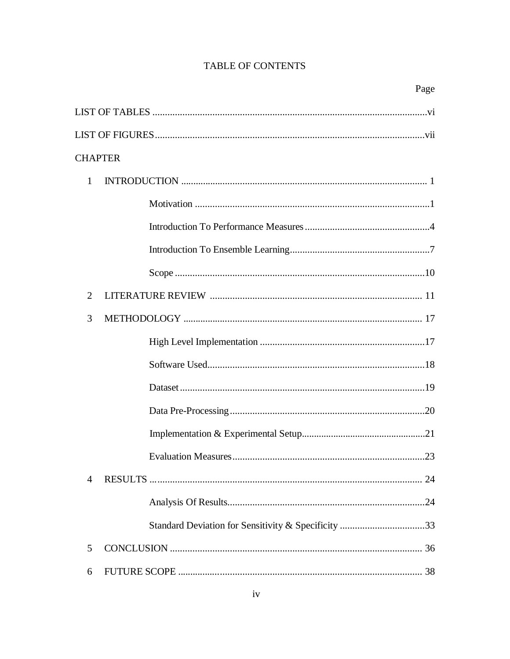# TABLE OF CONTENTS

|                | Page |
|----------------|------|
|                |      |
|                |      |
| <b>CHAPTER</b> |      |
| $\mathbf{1}$   |      |
|                |      |
|                |      |
|                |      |
|                |      |
| 2              |      |
| 3              |      |
|                |      |
|                |      |
|                |      |
|                |      |
|                |      |
|                |      |
| $\overline{4}$ |      |
|                |      |
|                |      |
| 5              |      |
| 6              |      |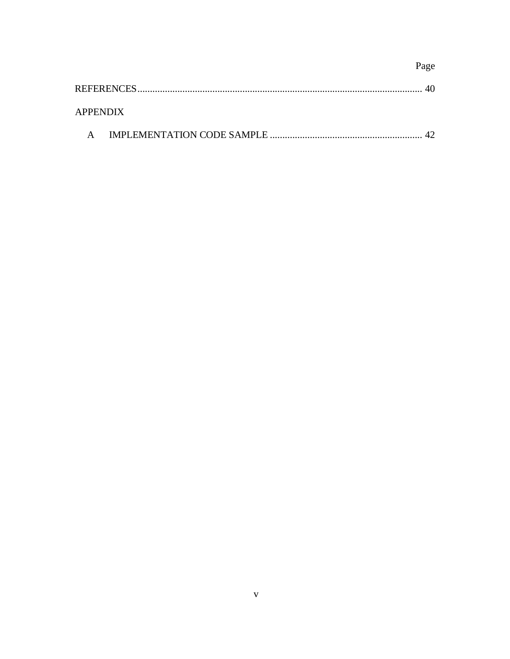|                 | Page |
|-----------------|------|
|                 |      |
| <b>APPENDIX</b> |      |
| A               |      |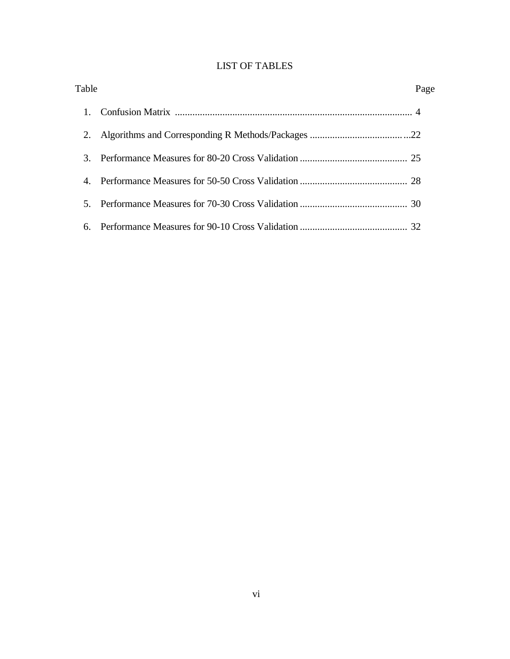# LIST OF TABLES

| Table        | Page |
|--------------|------|
| $\mathbf{1}$ |      |
|              |      |
|              |      |
|              |      |
|              |      |
|              |      |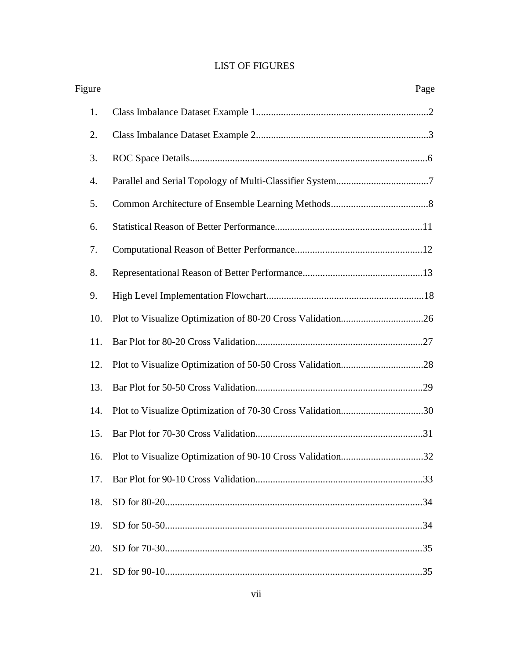# LIST OF FIGURES

| Figure |                                                            | Page |
|--------|------------------------------------------------------------|------|
| 1.     |                                                            |      |
| 2.     |                                                            |      |
| 3.     |                                                            |      |
| 4.     |                                                            |      |
| 5.     |                                                            |      |
| 6.     |                                                            |      |
| 7.     |                                                            |      |
| 8.     |                                                            |      |
| 9.     |                                                            |      |
| 10.    |                                                            |      |
| 11.    |                                                            |      |
| 12.    |                                                            |      |
| 13.    |                                                            |      |
| 14.    | Plot to Visualize Optimization of 70-30 Cross Validation30 |      |
| 15.    |                                                            |      |
|        |                                                            |      |
| 17.    |                                                            |      |
| 18.    |                                                            |      |
| 19.    |                                                            |      |
| 20.    |                                                            |      |
| 21.    |                                                            |      |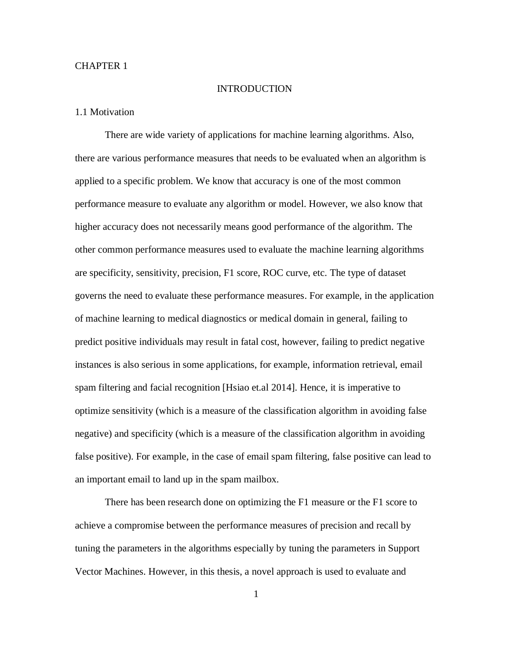# CHAPTER 1

#### INTRODUCTION

# 1.1 Motivation

There are wide variety of applications for machine learning algorithms. Also, there are various performance measures that needs to be evaluated when an algorithm is applied to a specific problem. We know that accuracy is one of the most common performance measure to evaluate any algorithm or model. However, we also know that higher accuracy does not necessarily means good performance of the algorithm. The other common performance measures used to evaluate the machine learning algorithms are specificity, sensitivity, precision, F1 score, ROC curve, etc. The type of dataset governs the need to evaluate these performance measures. For example, in the application of machine learning to medical diagnostics or medical domain in general, failing to predict positive individuals may result in fatal cost, however, failing to predict negative instances is also serious in some applications, for example, information retrieval, email spam filtering and facial recognition [Hsiao et.al 2014]. Hence, it is imperative to optimize sensitivity (which is a measure of the classification algorithm in avoiding false negative) and specificity (which is a measure of the classification algorithm in avoiding false positive). For example, in the case of email spam filtering, false positive can lead to an important email to land up in the spam mailbox.

There has been research done on optimizing the F1 measure or the F1 score to achieve a compromise between the performance measures of precision and recall by tuning the parameters in the algorithms especially by tuning the parameters in Support Vector Machines. However, in this thesis, a novel approach is used to evaluate and

1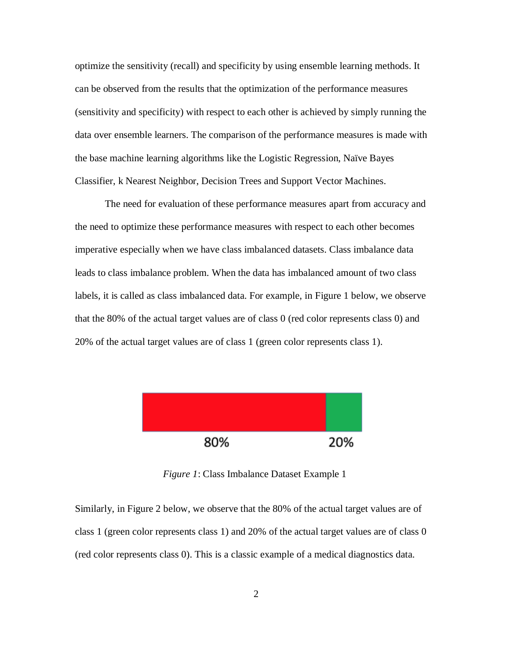optimize the sensitivity (recall) and specificity by using ensemble learning methods. It can be observed from the results that the optimization of the performance measures (sensitivity and specificity) with respect to each other is achieved by simply running the data over ensemble learners. The comparison of the performance measures is made with the base machine learning algorithms like the Logistic Regression, Naïve Bayes Classifier, k Nearest Neighbor, Decision Trees and Support Vector Machines.

The need for evaluation of these performance measures apart from accuracy and the need to optimize these performance measures with respect to each other becomes imperative especially when we have class imbalanced datasets. Class imbalance data leads to class imbalance problem. When the data has imbalanced amount of two class labels, it is called as class imbalanced data. For example, in Figure 1 below, we observe that the 80% of the actual target values are of class 0 (red color represents class 0) and 20% of the actual target values are of class 1 (green color represents class 1).



*Figure 1*: Class Imbalance Dataset Example 1

Similarly, in Figure 2 below, we observe that the 80% of the actual target values are of class 1 (green color represents class 1) and 20% of the actual target values are of class 0 (red color represents class 0). This is a classic example of a medical diagnostics data.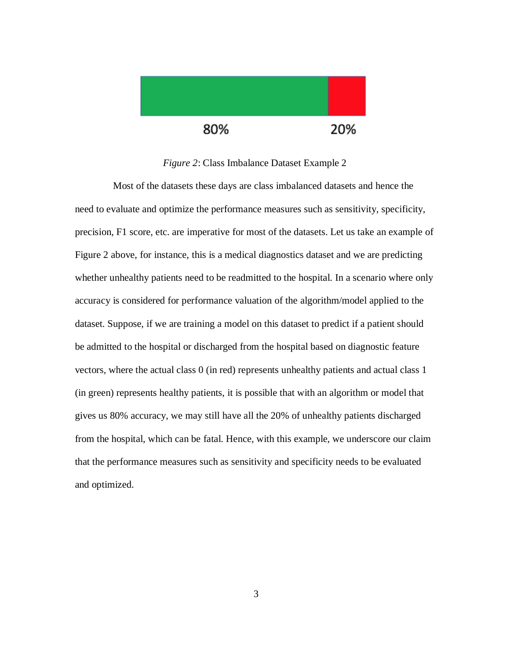

*Figure 2*: Class Imbalance Dataset Example 2

Most of the datasets these days are class imbalanced datasets and hence the need to evaluate and optimize the performance measures such as sensitivity, specificity, precision, F1 score, etc. are imperative for most of the datasets. Let us take an example of Figure 2 above, for instance, this is a medical diagnostics dataset and we are predicting whether unhealthy patients need to be readmitted to the hospital. In a scenario where only accuracy is considered for performance valuation of the algorithm/model applied to the dataset. Suppose, if we are training a model on this dataset to predict if a patient should be admitted to the hospital or discharged from the hospital based on diagnostic feature vectors, where the actual class 0 (in red) represents unhealthy patients and actual class 1 (in green) represents healthy patients, it is possible that with an algorithm or model that gives us 80% accuracy, we may still have all the 20% of unhealthy patients discharged from the hospital, which can be fatal. Hence, with this example, we underscore our claim that the performance measures such as sensitivity and specificity needs to be evaluated and optimized.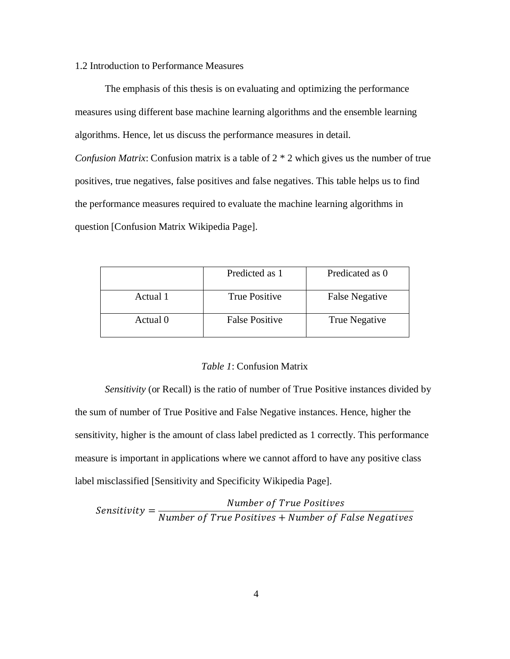# 1.2 Introduction to Performance Measures

The emphasis of this thesis is on evaluating and optimizing the performance measures using different base machine learning algorithms and the ensemble learning algorithms. Hence, let us discuss the performance measures in detail. *Confusion Matrix*: Confusion matrix is a table of 2 \* 2 which gives us the number of true positives, true negatives, false positives and false negatives. This table helps us to find the performance measures required to evaluate the machine learning algorithms in question [Confusion Matrix Wikipedia Page].

|          | Predicted as 1        | Predicated as 0       |
|----------|-----------------------|-----------------------|
| Actual 1 | <b>True Positive</b>  | <b>False Negative</b> |
| Actual 0 | <b>False Positive</b> | True Negative         |

# *Table 1*: Confusion Matrix

*Sensitivity* (or Recall) is the ratio of number of True Positive instances divided by the sum of number of True Positive and False Negative instances. Hence, higher the sensitivity, higher is the amount of class label predicted as 1 correctly. This performance measure is important in applications where we cannot afford to have any positive class label misclassified [Sensitivity and Specificity Wikipedia Page].

Sensitivity = Number of True Positives Number of True Positives + Number of False Negatives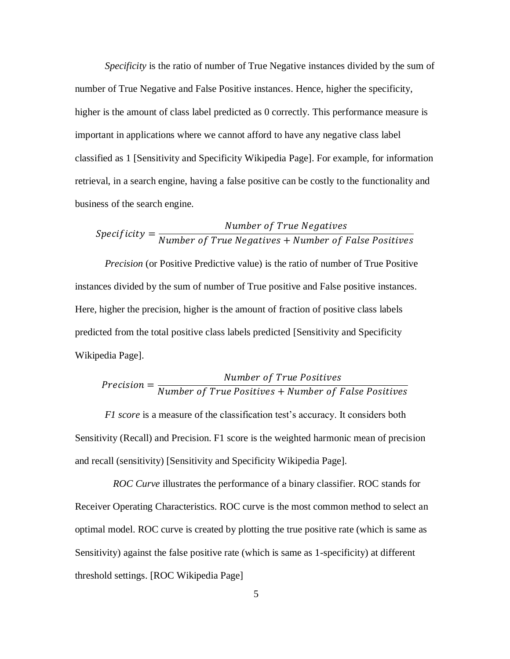*Specificity* is the ratio of number of True Negative instances divided by the sum of number of True Negative and False Positive instances. Hence, higher the specificity, higher is the amount of class label predicted as 0 correctly. This performance measure is important in applications where we cannot afford to have any negative class label classified as 1 [Sensitivity and Specificity Wikipedia Page]. For example, for information retrieval, in a search engine, having a false positive can be costly to the functionality and business of the search engine.

#### $Specificity =$ Number of True Negatives Number of True Negatives + Number of False Positives

*Precision* (or Positive Predictive value) is the ratio of number of True Positive instances divided by the sum of number of True positive and False positive instances. Here, higher the precision, higher is the amount of fraction of positive class labels predicted from the total positive class labels predicted [Sensitivity and Specificity Wikipedia Page].

 $Precision =$ Number of True Positives Number of True Positives + Number of False Positives

*F1 score* is a measure of the classification test's accuracy. It considers both Sensitivity (Recall) and Precision. F1 score is the weighted harmonic mean of precision and recall (sensitivity) [Sensitivity and Specificity Wikipedia Page].

*ROC Curve* illustrates the performance of a binary classifier. ROC stands for Receiver Operating Characteristics. ROC curve is the most common method to select an optimal model. ROC curve is created by plotting the true positive rate (which is same as Sensitivity) against the false positive rate (which is same as 1-specificity) at different threshold settings. [ROC Wikipedia Page]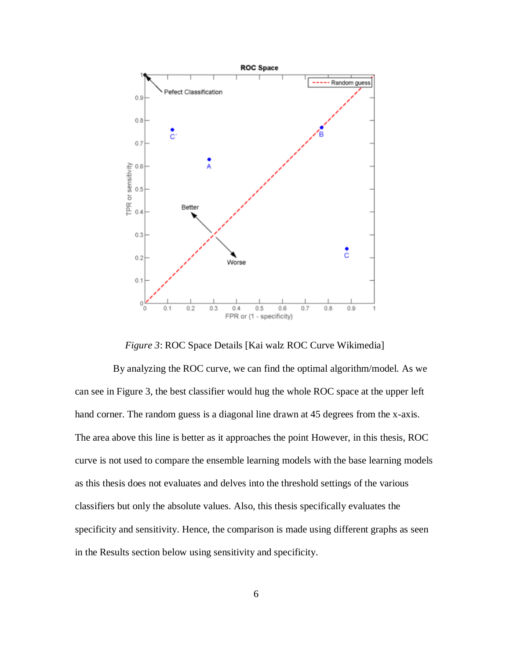

*Figure 3*: ROC Space Details [Kai walz ROC Curve Wikimedia]

By analyzing the ROC curve, we can find the optimal algorithm/model. As we can see in Figure 3, the best classifier would hug the whole ROC space at the upper left hand corner. The random guess is a diagonal line drawn at 45 degrees from the x-axis. The area above this line is better as it approaches the point However, in this thesis, ROC curve is not used to compare the ensemble learning models with the base learning models as this thesis does not evaluates and delves into the threshold settings of the various classifiers but only the absolute values. Also, this thesis specifically evaluates the specificity and sensitivity. Hence, the comparison is made using different graphs as seen in the Results section below using sensitivity and specificity.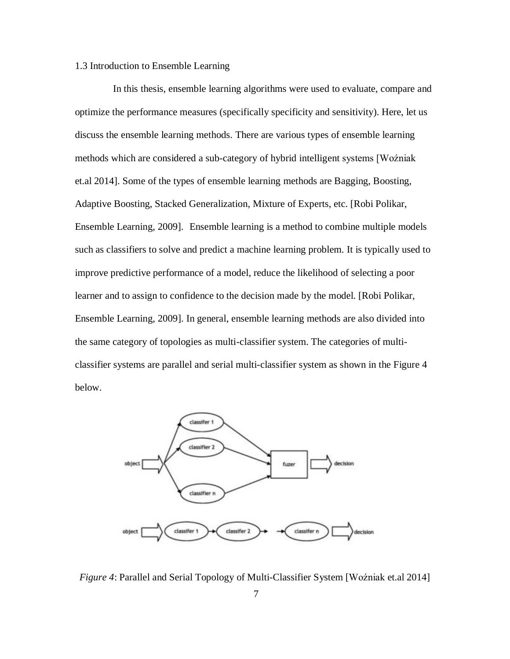# 1.3 Introduction to Ensemble Learning

In this thesis, ensemble learning algorithms were used to evaluate, compare and optimize the performance measures (specifically specificity and sensitivity). Here, let us discuss the ensemble learning methods. There are various types of ensemble learning methods which are considered a sub-category of hybrid intelligent systems [Woźniak et.al 2014]. Some of the types of ensemble learning methods are Bagging, Boosting, Adaptive Boosting, Stacked Generalization, Mixture of Experts, etc. [Robi Polikar, Ensemble Learning, 2009]. Ensemble learning is a method to combine multiple models such as classifiers to solve and predict a machine learning problem. It is typically used to improve predictive performance of a model, reduce the likelihood of selecting a poor learner and to assign to confidence to the decision made by the model. [Robi Polikar, Ensemble Learning, 2009]. In general, ensemble learning methods are also divided into the same category of topologies as multi-classifier system. The categories of multiclassifier systems are parallel and serial multi-classifier system as shown in the Figure 4 below.



*Figure 4*: Parallel and Serial Topology of Multi-Classifier System [Woźniak et.al 2014]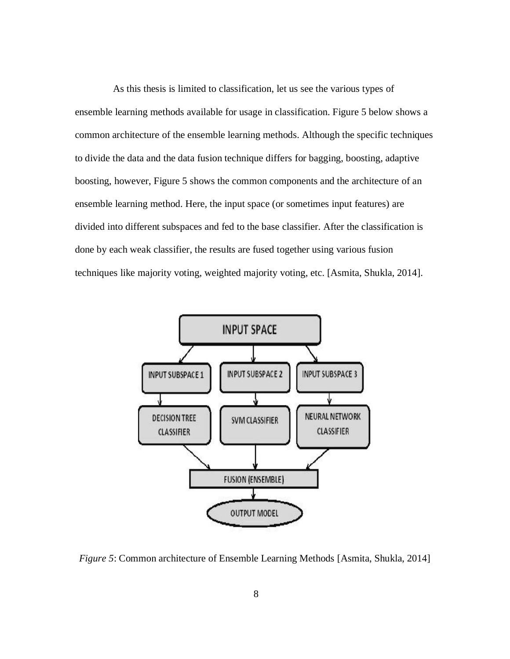As this thesis is limited to classification, let us see the various types of ensemble learning methods available for usage in classification. Figure 5 below shows a common architecture of the ensemble learning methods. Although the specific techniques to divide the data and the data fusion technique differs for bagging, boosting, adaptive boosting, however, Figure 5 shows the common components and the architecture of an ensemble learning method. Here, the input space (or sometimes input features) are divided into different subspaces and fed to the base classifier. After the classification is done by each weak classifier, the results are fused together using various fusion techniques like majority voting, weighted majority voting, etc. [Asmita, Shukla, 2014].



*Figure 5*: Common architecture of Ensemble Learning Methods [Asmita, Shukla, 2014]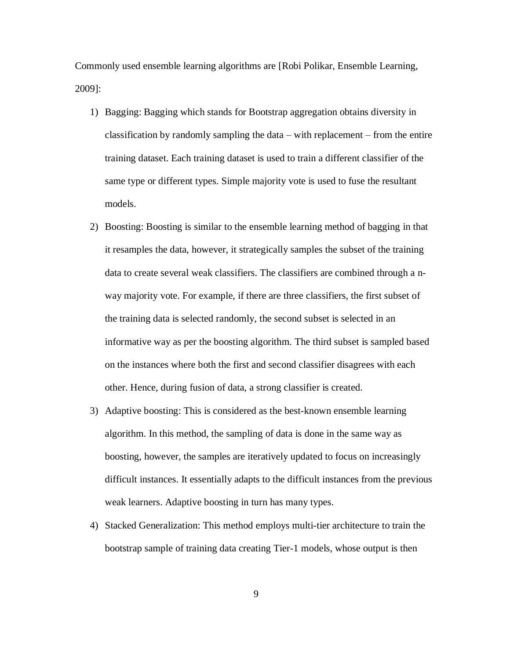Commonly used ensemble learning algorithms are [Robi Polikar, Ensemble Learning, 2009]:

- 1) Bagging: Bagging which stands for Bootstrap aggregation obtains diversity in classification by randomly sampling the data – with replacement – from the entire training dataset. Each training dataset is used to train a different classifier of the same type or different types. Simple majority vote is used to fuse the resultant models.
- 2) Boosting: Boosting is similar to the ensemble learning method of bagging in that it resamples the data, however, it strategically samples the subset of the training data to create several weak classifiers. The classifiers are combined through a nway majority vote. For example, if there are three classifiers, the first subset of the training data is selected randomly, the second subset is selected in an informative way as per the boosting algorithm. The third subset is sampled based on the instances where both the first and second classifier disagrees with each other. Hence, during fusion of data, a strong classifier is created.
- 3) Adaptive boosting: This is considered as the best-known ensemble learning algorithm. In this method, the sampling of data is done in the same way as boosting, however, the samples are iteratively updated to focus on increasingly difficult instances. It essentially adapts to the difficult instances from the previous weak learners. Adaptive boosting in turn has many types.
- 4) Stacked Generalization: This method employs multi-tier architecture to train the bootstrap sample of training data creating Tier-1 models, whose output is then

9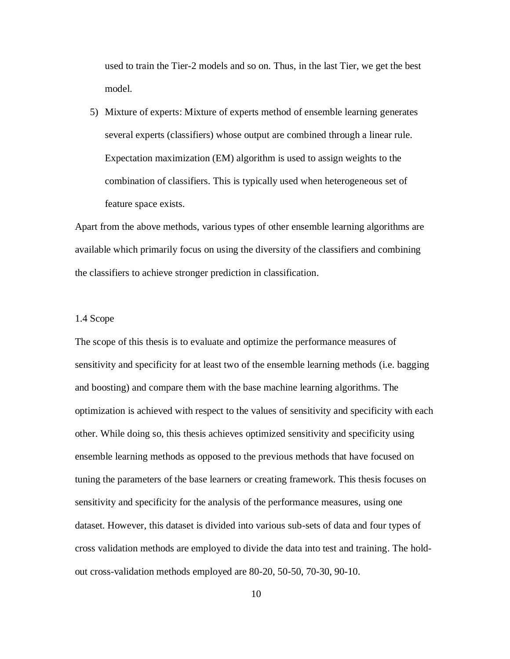used to train the Tier-2 models and so on. Thus, in the last Tier, we get the best model.

5) Mixture of experts: Mixture of experts method of ensemble learning generates several experts (classifiers) whose output are combined through a linear rule. Expectation maximization (EM) algorithm is used to assign weights to the combination of classifiers. This is typically used when heterogeneous set of feature space exists.

Apart from the above methods, various types of other ensemble learning algorithms are available which primarily focus on using the diversity of the classifiers and combining the classifiers to achieve stronger prediction in classification.

### 1.4 Scope

The scope of this thesis is to evaluate and optimize the performance measures of sensitivity and specificity for at least two of the ensemble learning methods (i.e. bagging and boosting) and compare them with the base machine learning algorithms. The optimization is achieved with respect to the values of sensitivity and specificity with each other. While doing so, this thesis achieves optimized sensitivity and specificity using ensemble learning methods as opposed to the previous methods that have focused on tuning the parameters of the base learners or creating framework. This thesis focuses on sensitivity and specificity for the analysis of the performance measures, using one dataset. However, this dataset is divided into various sub-sets of data and four types of cross validation methods are employed to divide the data into test and training. The holdout cross-validation methods employed are 80-20, 50-50, 70-30, 90-10.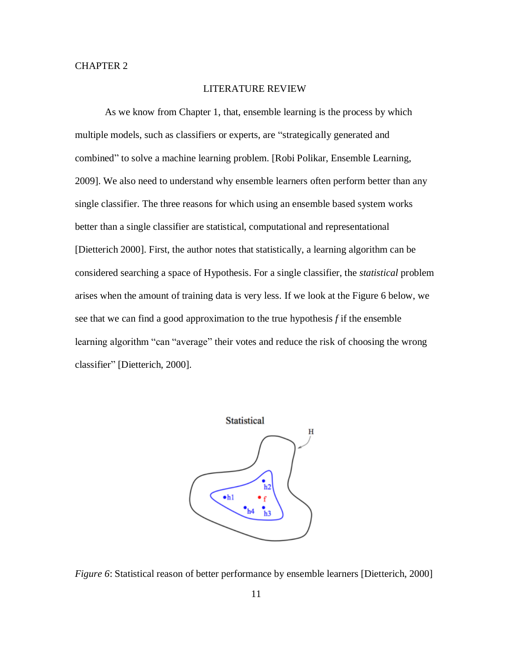### LITERATURE REVIEW

As we know from Chapter 1, that, ensemble learning is the process by which multiple models, such as classifiers or experts, are "strategically generated and combined" to solve a machine learning problem. [Robi Polikar, Ensemble Learning, 2009]. We also need to understand why ensemble learners often perform better than any single classifier. The three reasons for which using an ensemble based system works better than a single classifier are statistical, computational and representational [Dietterich 2000]. First, the author notes that statistically, a learning algorithm can be considered searching a space of Hypothesis. For a single classifier, the *statistical* problem arises when the amount of training data is very less. If we look at the Figure 6 below, we see that we can find a good approximation to the true hypothesis *f* if the ensemble learning algorithm "can "average" their votes and reduce the risk of choosing the wrong classifier" [Dietterich, 2000].



*Figure 6*: Statistical reason of better performance by ensemble learners [Dietterich, 2000]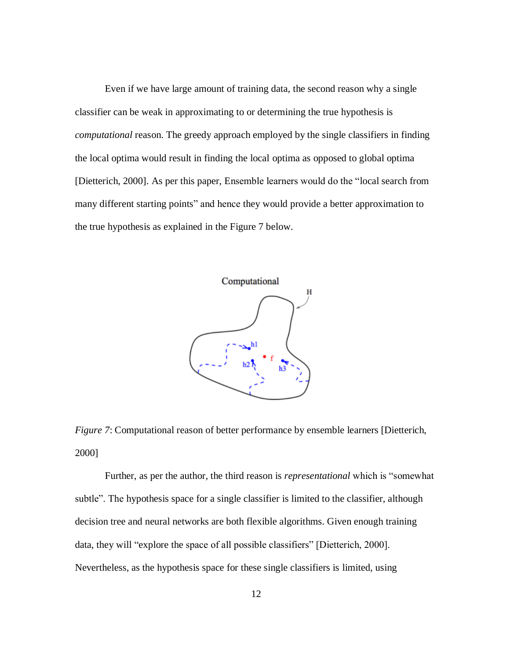Even if we have large amount of training data, the second reason why a single classifier can be weak in approximating to or determining the true hypothesis is *computational* reason. The greedy approach employed by the single classifiers in finding the local optima would result in finding the local optima as opposed to global optima [Dietterich, 2000]. As per this paper, Ensemble learners would do the "local search from many different starting points" and hence they would provide a better approximation to the true hypothesis as explained in the Figure 7 below.



*Figure 7*: Computational reason of better performance by ensemble learners [Dietterich, 2000]

Further, as per the author, the third reason is *representational* which is "somewhat subtle". The hypothesis space for a single classifier is limited to the classifier, although decision tree and neural networks are both flexible algorithms. Given enough training data, they will "explore the space of all possible classifiers" [Dietterich, 2000]. Nevertheless, as the hypothesis space for these single classifiers is limited, using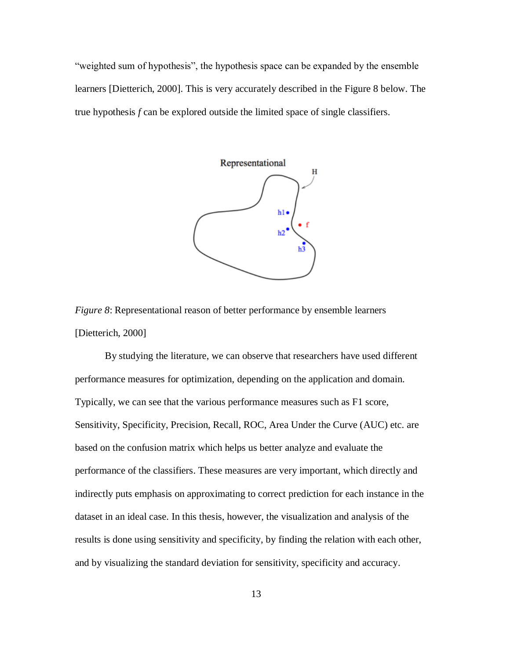"weighted sum of hypothesis", the hypothesis space can be expanded by the ensemble learners [Dietterich, 2000]. This is very accurately described in the Figure 8 below. The true hypothesis *f* can be explored outside the limited space of single classifiers.



*Figure 8*: Representational reason of better performance by ensemble learners [Dietterich, 2000]

By studying the literature, we can observe that researchers have used different performance measures for optimization, depending on the application and domain. Typically, we can see that the various performance measures such as F1 score, Sensitivity, Specificity, Precision, Recall, ROC, Area Under the Curve (AUC) etc. are based on the confusion matrix which helps us better analyze and evaluate the performance of the classifiers. These measures are very important, which directly and indirectly puts emphasis on approximating to correct prediction for each instance in the dataset in an ideal case. In this thesis, however, the visualization and analysis of the results is done using sensitivity and specificity, by finding the relation with each other, and by visualizing the standard deviation for sensitivity, specificity and accuracy.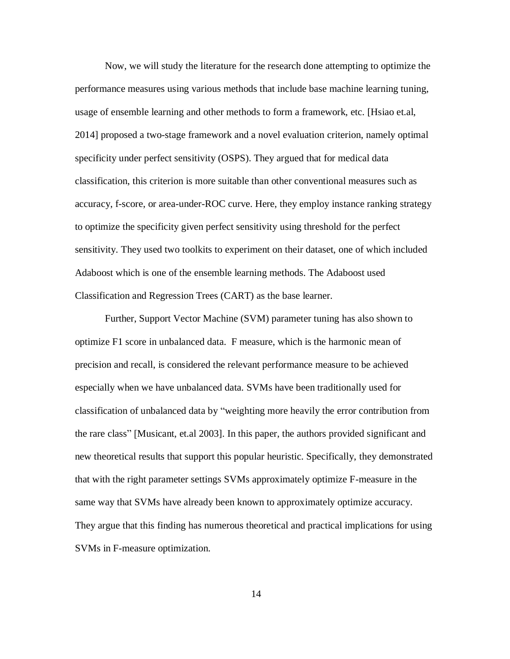Now, we will study the literature for the research done attempting to optimize the performance measures using various methods that include base machine learning tuning, usage of ensemble learning and other methods to form a framework, etc. [Hsiao et.al, 2014] proposed a two-stage framework and a novel evaluation criterion, namely optimal specificity under perfect sensitivity (OSPS). They argued that for medical data classification, this criterion is more suitable than other conventional measures such as accuracy, f-score, or area-under-ROC curve. Here, they employ instance ranking strategy to optimize the specificity given perfect sensitivity using threshold for the perfect sensitivity. They used two toolkits to experiment on their dataset, one of which included Adaboost which is one of the ensemble learning methods. The Adaboost used Classification and Regression Trees (CART) as the base learner.

Further, Support Vector Machine (SVM) parameter tuning has also shown to optimize F1 score in unbalanced data. F measure, which is the harmonic mean of precision and recall, is considered the relevant performance measure to be achieved especially when we have unbalanced data. SVMs have been traditionally used for classification of unbalanced data by "weighting more heavily the error contribution from the rare class" [Musicant, et.al 2003]. In this paper, the authors provided significant and new theoretical results that support this popular heuristic. Specifically, they demonstrated that with the right parameter settings SVMs approximately optimize F-measure in the same way that SVMs have already been known to approximately optimize accuracy. They argue that this finding has numerous theoretical and practical implications for using SVMs in F-measure optimization.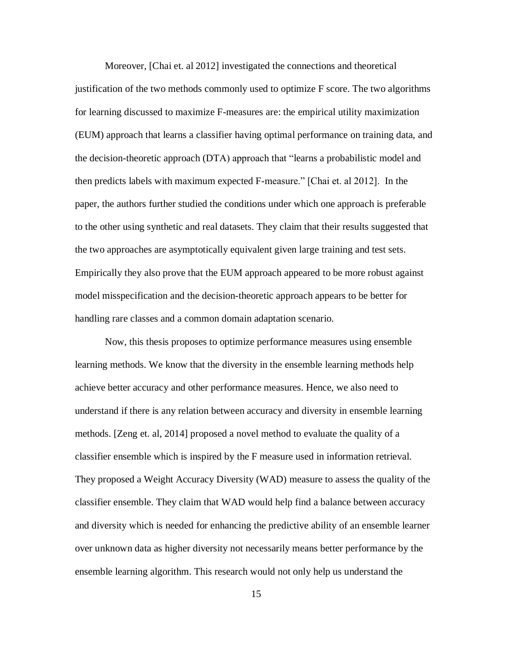Moreover, [Chai et. al 2012] investigated the connections and theoretical justification of the two methods commonly used to optimize F score. The two algorithms for learning discussed to maximize F-measures are: the empirical utility maximization (EUM) approach that learns a classifier having optimal performance on training data, and the decision-theoretic approach (DTA) approach that "learns a probabilistic model and then predicts labels with maximum expected F-measure." [Chai et. al 2012]. In the paper, the authors further studied the conditions under which one approach is preferable to the other using synthetic and real datasets. They claim that their results suggested that the two approaches are asymptotically equivalent given large training and test sets. Empirically they also prove that the EUM approach appeared to be more robust against model misspecification and the decision-theoretic approach appears to be better for handling rare classes and a common domain adaptation scenario.

Now, this thesis proposes to optimize performance measures using ensemble learning methods. We know that the diversity in the ensemble learning methods help achieve better accuracy and other performance measures. Hence, we also need to understand if there is any relation between accuracy and diversity in ensemble learning methods. [Zeng et. al, 2014] proposed a novel method to evaluate the quality of a classifier ensemble which is inspired by the F measure used in information retrieval. They proposed a Weight Accuracy Diversity (WAD) measure to assess the quality of the classifier ensemble. They claim that WAD would help find a balance between accuracy and diversity which is needed for enhancing the predictive ability of an ensemble learner over unknown data as higher diversity not necessarily means better performance by the ensemble learning algorithm. This research would not only help us understand the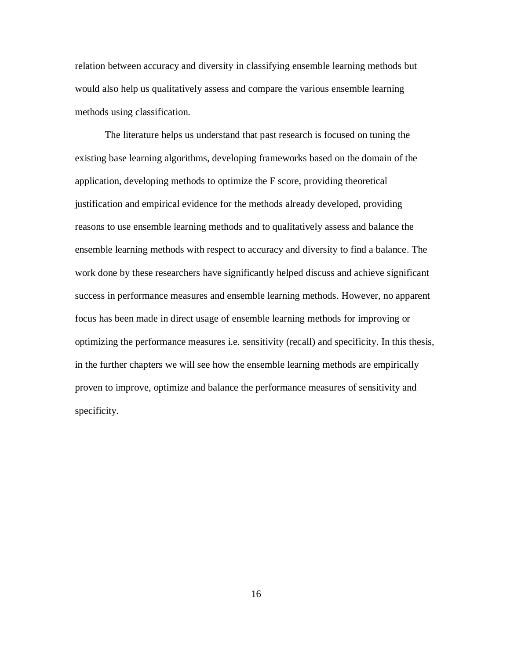relation between accuracy and diversity in classifying ensemble learning methods but would also help us qualitatively assess and compare the various ensemble learning methods using classification.

The literature helps us understand that past research is focused on tuning the existing base learning algorithms, developing frameworks based on the domain of the application, developing methods to optimize the F score, providing theoretical justification and empirical evidence for the methods already developed, providing reasons to use ensemble learning methods and to qualitatively assess and balance the ensemble learning methods with respect to accuracy and diversity to find a balance. The work done by these researchers have significantly helped discuss and achieve significant success in performance measures and ensemble learning methods. However, no apparent focus has been made in direct usage of ensemble learning methods for improving or optimizing the performance measures i.e. sensitivity (recall) and specificity. In this thesis, in the further chapters we will see how the ensemble learning methods are empirically proven to improve, optimize and balance the performance measures of sensitivity and specificity.

16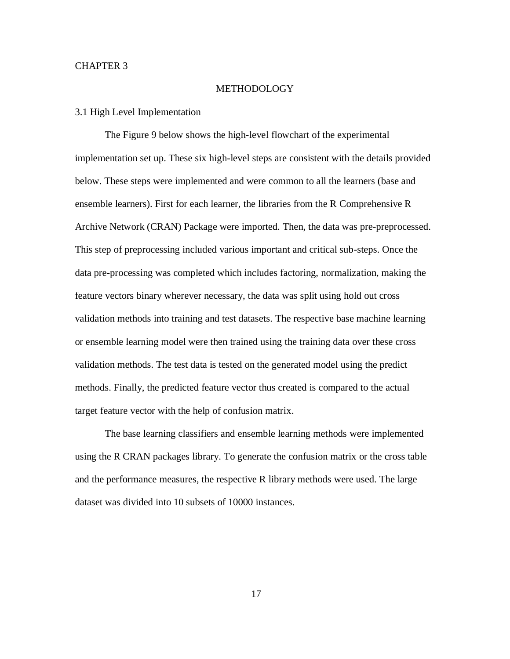# CHAPTER 3

#### **METHODOLOGY**

# 3.1 High Level Implementation

The Figure 9 below shows the high-level flowchart of the experimental implementation set up. These six high-level steps are consistent with the details provided below. These steps were implemented and were common to all the learners (base and ensemble learners). First for each learner, the libraries from the R Comprehensive R Archive Network (CRAN) Package were imported. Then, the data was pre-preprocessed. This step of preprocessing included various important and critical sub-steps. Once the data pre-processing was completed which includes factoring, normalization, making the feature vectors binary wherever necessary, the data was split using hold out cross validation methods into training and test datasets. The respective base machine learning or ensemble learning model were then trained using the training data over these cross validation methods. The test data is tested on the generated model using the predict methods. Finally, the predicted feature vector thus created is compared to the actual target feature vector with the help of confusion matrix.

The base learning classifiers and ensemble learning methods were implemented using the R CRAN packages library. To generate the confusion matrix or the cross table and the performance measures, the respective R library methods were used. The large dataset was divided into 10 subsets of 10000 instances.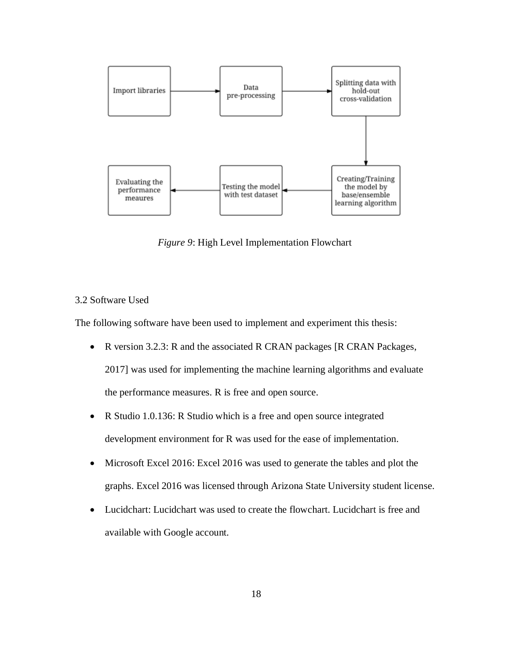

*Figure 9*: High Level Implementation Flowchart

# 3.2 Software Used

The following software have been used to implement and experiment this thesis:

- R version 3.2.3: R and the associated R CRAN packages [R CRAN Packages, 2017] was used for implementing the machine learning algorithms and evaluate the performance measures. R is free and open source.
- R Studio 1.0.136: R Studio which is a free and open source integrated development environment for R was used for the ease of implementation.
- Microsoft Excel 2016: Excel 2016 was used to generate the tables and plot the graphs. Excel 2016 was licensed through Arizona State University student license.
- Lucidchart: Lucidchart was used to create the flowchart. Lucidchart is free and available with Google account.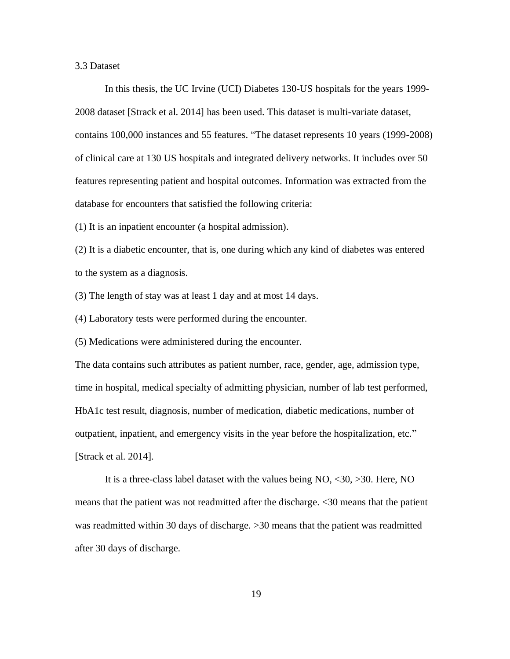### 3.3 Dataset

In this thesis, the UC Irvine (UCI) Diabetes 130-US hospitals for the years 1999- 2008 dataset [Strack et al. 2014] has been used. This dataset is multi-variate dataset, contains 100,000 instances and 55 features. "The dataset represents 10 years (1999-2008) of clinical care at 130 US hospitals and integrated delivery networks. It includes over 50 features representing patient and hospital outcomes. Information was extracted from the database for encounters that satisfied the following criteria:

(1) It is an inpatient encounter (a hospital admission).

(2) It is a diabetic encounter, that is, one during which any kind of diabetes was entered to the system as a diagnosis.

(3) The length of stay was at least 1 day and at most 14 days.

(4) Laboratory tests were performed during the encounter.

(5) Medications were administered during the encounter.

The data contains such attributes as patient number, race, gender, age, admission type, time in hospital, medical specialty of admitting physician, number of lab test performed, HbA1c test result, diagnosis, number of medication, diabetic medications, number of outpatient, inpatient, and emergency visits in the year before the hospitalization, etc." [Strack et al. 2014].

It is a three-class label dataset with the values being NO, <30, >30. Here, NO means that the patient was not readmitted after the discharge. <30 means that the patient was readmitted within 30 days of discharge. >30 means that the patient was readmitted after 30 days of discharge.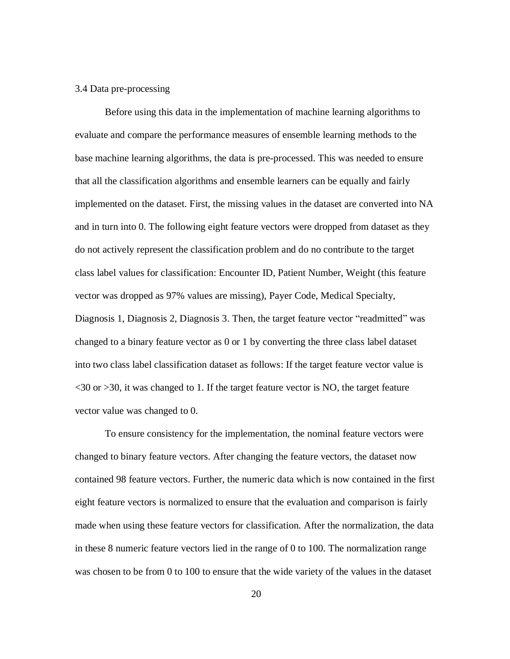#### 3.4 Data pre-processing

Before using this data in the implementation of machine learning algorithms to evaluate and compare the performance measures of ensemble learning methods to the base machine learning algorithms, the data is pre-processed. This was needed to ensure that all the classification algorithms and ensemble learners can be equally and fairly implemented on the dataset. First, the missing values in the dataset are converted into NA and in turn into 0. The following eight feature vectors were dropped from dataset as they do not actively represent the classification problem and do no contribute to the target class label values for classification: Encounter ID, Patient Number, Weight (this feature vector was dropped as 97% values are missing), Payer Code, Medical Specialty, Diagnosis 1, Diagnosis 2, Diagnosis 3. Then, the target feature vector "readmitted" was changed to a binary feature vector as 0 or 1 by converting the three class label dataset into two class label classification dataset as follows: If the target feature vector value is  $\langle 30 \text{ or } 30, 10 \rangle$  it was changed to 1. If the target feature vector is NO, the target feature vector value was changed to 0.

To ensure consistency for the implementation, the nominal feature vectors were changed to binary feature vectors. After changing the feature vectors, the dataset now contained 98 feature vectors. Further, the numeric data which is now contained in the first eight feature vectors is normalized to ensure that the evaluation and comparison is fairly made when using these feature vectors for classification. After the normalization, the data in these 8 numeric feature vectors lied in the range of 0 to 100. The normalization range was chosen to be from 0 to 100 to ensure that the wide variety of the values in the dataset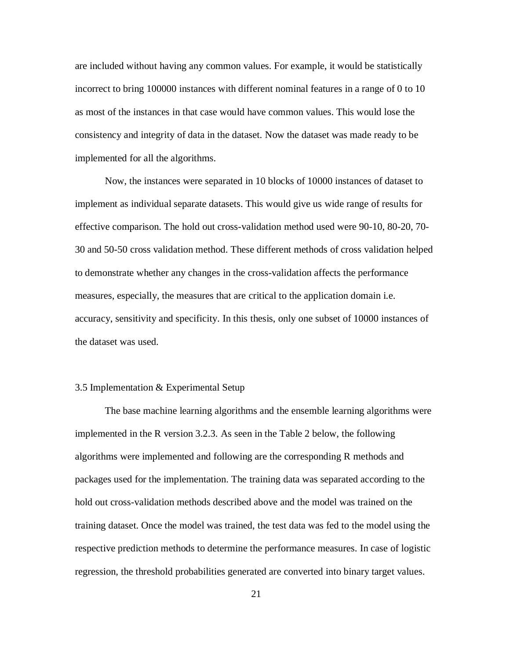are included without having any common values. For example, it would be statistically incorrect to bring 100000 instances with different nominal features in a range of 0 to 10 as most of the instances in that case would have common values. This would lose the consistency and integrity of data in the dataset. Now the dataset was made ready to be implemented for all the algorithms.

Now, the instances were separated in 10 blocks of 10000 instances of dataset to implement as individual separate datasets. This would give us wide range of results for effective comparison. The hold out cross-validation method used were 90-10, 80-20, 70- 30 and 50-50 cross validation method. These different methods of cross validation helped to demonstrate whether any changes in the cross-validation affects the performance measures, especially, the measures that are critical to the application domain i.e. accuracy, sensitivity and specificity. In this thesis, only one subset of 10000 instances of the dataset was used.

#### 3.5 Implementation & Experimental Setup

The base machine learning algorithms and the ensemble learning algorithms were implemented in the R version 3.2.3. As seen in the Table 2 below, the following algorithms were implemented and following are the corresponding R methods and packages used for the implementation. The training data was separated according to the hold out cross-validation methods described above and the model was trained on the training dataset. Once the model was trained, the test data was fed to the model using the respective prediction methods to determine the performance measures. In case of logistic regression, the threshold probabilities generated are converted into binary target values.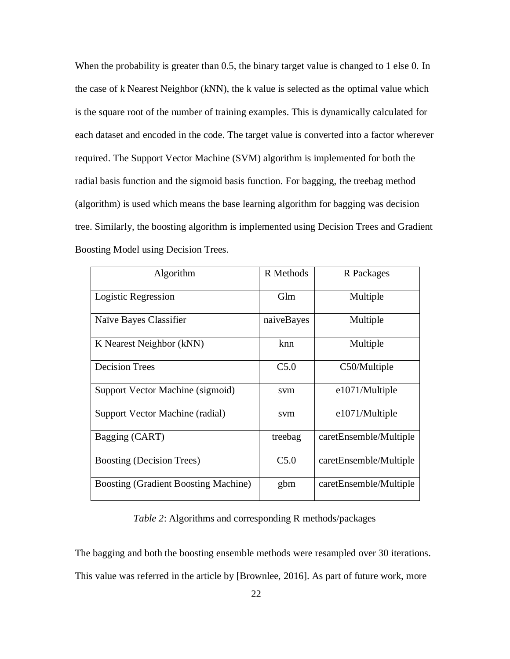When the probability is greater than 0.5, the binary target value is changed to 1 else 0. In the case of k Nearest Neighbor (kNN), the k value is selected as the optimal value which is the square root of the number of training examples. This is dynamically calculated for each dataset and encoded in the code. The target value is converted into a factor wherever required. The Support Vector Machine (SVM) algorithm is implemented for both the radial basis function and the sigmoid basis function. For bagging, the treebag method (algorithm) is used which means the base learning algorithm for bagging was decision tree. Similarly, the boosting algorithm is implemented using Decision Trees and Gradient Boosting Model using Decision Trees.

| Algorithm                                   | R Methods  | R Packages             |
|---------------------------------------------|------------|------------------------|
| Logistic Regression                         | Glm        | Multiple               |
| Naïve Bayes Classifier                      | naiveBayes | Multiple               |
| K Nearest Neighbor (kNN)                    | knn        | Multiple               |
| <b>Decision Trees</b>                       | C5.0       | C50/Multiple           |
| Support Vector Machine (sigmoid)            | svm        | e1071/Multiple         |
| Support Vector Machine (radial)             | svm        | e1071/Multiple         |
| Bagging (CART)                              | treebag    | caretEnsemble/Multiple |
| <b>Boosting (Decision Trees)</b>            | C5.0       | caretEnsemble/Multiple |
| <b>Boosting (Gradient Boosting Machine)</b> | gbm        | caretEnsemble/Multiple |

*Table 2*: Algorithms and corresponding R methods/packages

The bagging and both the boosting ensemble methods were resampled over 30 iterations. This value was referred in the article by [Brownlee, 2016]. As part of future work, more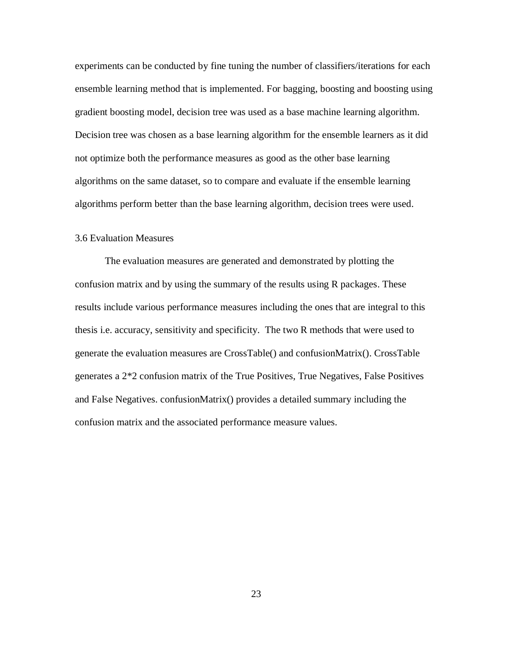experiments can be conducted by fine tuning the number of classifiers/iterations for each ensemble learning method that is implemented. For bagging, boosting and boosting using gradient boosting model, decision tree was used as a base machine learning algorithm. Decision tree was chosen as a base learning algorithm for the ensemble learners as it did not optimize both the performance measures as good as the other base learning algorithms on the same dataset, so to compare and evaluate if the ensemble learning algorithms perform better than the base learning algorithm, decision trees were used.

# 3.6 Evaluation Measures

The evaluation measures are generated and demonstrated by plotting the confusion matrix and by using the summary of the results using R packages. These results include various performance measures including the ones that are integral to this thesis i.e. accuracy, sensitivity and specificity. The two R methods that were used to generate the evaluation measures are CrossTable() and confusionMatrix(). CrossTable generates a 2\*2 confusion matrix of the True Positives, True Negatives, False Positives and False Negatives. confusionMatrix() provides a detailed summary including the confusion matrix and the associated performance measure values.

23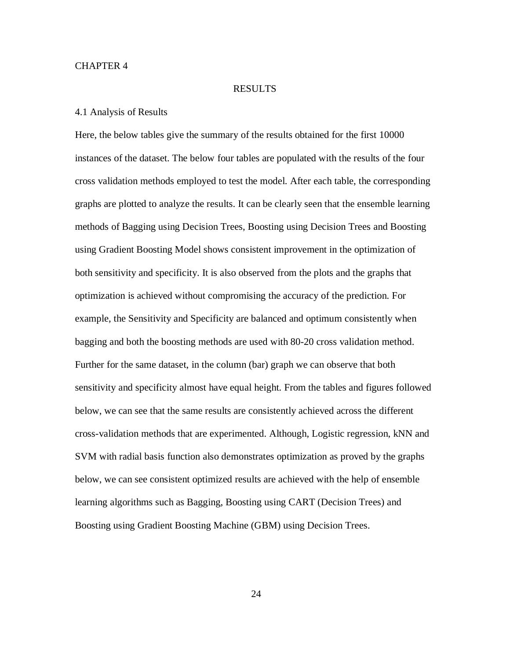#### CHAPTER 4

### RESULTS

### 4.1 Analysis of Results

Here, the below tables give the summary of the results obtained for the first 10000 instances of the dataset. The below four tables are populated with the results of the four cross validation methods employed to test the model. After each table, the corresponding graphs are plotted to analyze the results. It can be clearly seen that the ensemble learning methods of Bagging using Decision Trees, Boosting using Decision Trees and Boosting using Gradient Boosting Model shows consistent improvement in the optimization of both sensitivity and specificity. It is also observed from the plots and the graphs that optimization is achieved without compromising the accuracy of the prediction. For example, the Sensitivity and Specificity are balanced and optimum consistently when bagging and both the boosting methods are used with 80-20 cross validation method. Further for the same dataset, in the column (bar) graph we can observe that both sensitivity and specificity almost have equal height. From the tables and figures followed below, we can see that the same results are consistently achieved across the different cross-validation methods that are experimented. Although, Logistic regression, kNN and SVM with radial basis function also demonstrates optimization as proved by the graphs below, we can see consistent optimized results are achieved with the help of ensemble learning algorithms such as Bagging, Boosting using CART (Decision Trees) and Boosting using Gradient Boosting Machine (GBM) using Decision Trees.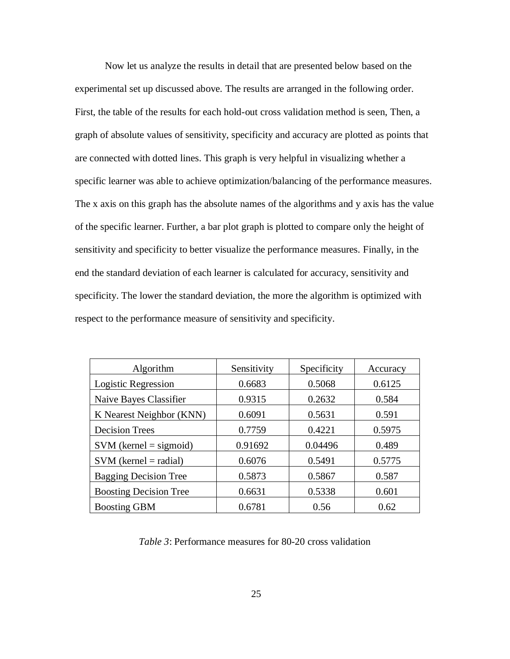Now let us analyze the results in detail that are presented below based on the experimental set up discussed above. The results are arranged in the following order. First, the table of the results for each hold-out cross validation method is seen, Then, a graph of absolute values of sensitivity, specificity and accuracy are plotted as points that are connected with dotted lines. This graph is very helpful in visualizing whether a specific learner was able to achieve optimization/balancing of the performance measures. The x axis on this graph has the absolute names of the algorithms and y axis has the value of the specific learner. Further, a bar plot graph is plotted to compare only the height of sensitivity and specificity to better visualize the performance measures. Finally, in the end the standard deviation of each learner is calculated for accuracy, sensitivity and specificity. The lower the standard deviation, the more the algorithm is optimized with respect to the performance measure of sensitivity and specificity.

| Algorithm                     | Sensitivity | Specificity | Accuracy |
|-------------------------------|-------------|-------------|----------|
| Logistic Regression           | 0.6683      | 0.5068      | 0.6125   |
| Naive Bayes Classifier        | 0.9315      | 0.2632      | 0.584    |
| K Nearest Neighbor (KNN)      | 0.6091      | 0.5631      | 0.591    |
| <b>Decision Trees</b>         | 0.7759      | 0.4221      | 0.5975   |
| $SVM$ (kernel = sigmoid)      | 0.91692     | 0.04496     | 0.489    |
| $SVM$ (kernel = radial)       | 0.6076      | 0.5491      | 0.5775   |
| <b>Bagging Decision Tree</b>  | 0.5873      | 0.5867      | 0.587    |
| <b>Boosting Decision Tree</b> | 0.6631      | 0.5338      | 0.601    |
| <b>Boosting GBM</b>           | 0.6781      | 0.56        | 0.62     |

*Table 3*: Performance measures for 80-20 cross validation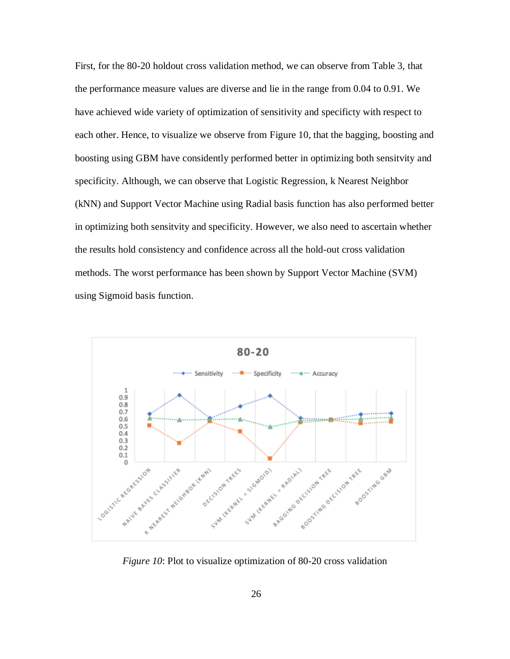First, for the 80-20 holdout cross validation method, we can observe from Table 3, that the performance measure values are diverse and lie in the range from 0.04 to 0.91. We have achieved wide variety of optimization of sensitivity and specificty with respect to each other. Hence, to visualize we observe from Figure 10, that the bagging, boosting and boosting using GBM have considently performed better in optimizing both sensitvity and specificity. Although, we can observe that Logistic Regression, k Nearest Neighbor (kNN) and Support Vector Machine using Radial basis function has also performed better in optimizing both sensitvity and specificity. However, we also need to ascertain whether the results hold consistency and confidence across all the hold-out cross validation methods. The worst performance has been shown by Support Vector Machine (SVM) using Sigmoid basis function.



*Figure 10*: Plot to visualize optimization of 80-20 cross validation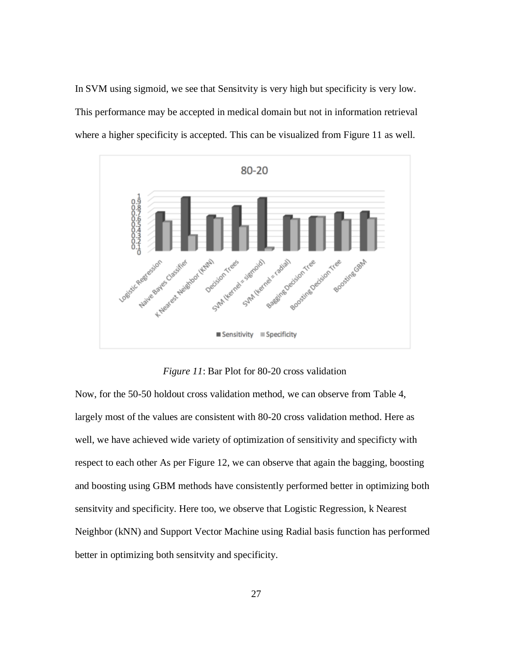In SVM using sigmoid, we see that Sensitvity is very high but specificity is very low. This performance may be accepted in medical domain but not in information retrieval where a higher specificity is accepted. This can be visualized from Figure 11 as well.



*Figure 11*: Bar Plot for 80-20 cross validation

Now, for the 50-50 holdout cross validation method, we can observe from Table 4, largely most of the values are consistent with 80-20 cross validation method. Here as well, we have achieved wide variety of optimization of sensitivity and specificty with respect to each other As per Figure 12, we can observe that again the bagging, boosting and boosting using GBM methods have consistently performed better in optimizing both sensitvity and specificity. Here too, we observe that Logistic Regression, k Nearest Neighbor (kNN) and Support Vector Machine using Radial basis function has performed better in optimizing both sensitvity and specificity.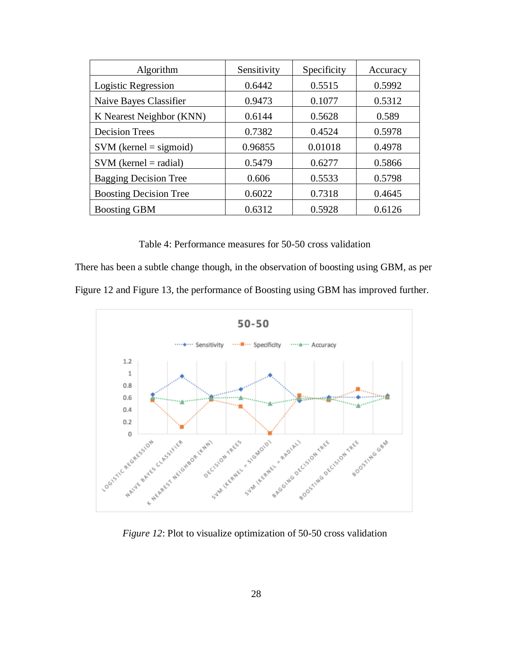| Algorithm                     | Sensitivity | Specificity | Accuracy |
|-------------------------------|-------------|-------------|----------|
| Logistic Regression           | 0.6442      | 0.5515      | 0.5992   |
| Naive Bayes Classifier        | 0.9473      | 0.1077      | 0.5312   |
| K Nearest Neighbor (KNN)      | 0.6144      | 0.5628      | 0.589    |
| <b>Decision Trees</b>         | 0.7382      | 0.4524      | 0.5978   |
| $SVM$ (kernel = sigmoid)      | 0.96855     | 0.01018     | 0.4978   |
| $SVM$ (kernel = radial)       | 0.5479      | 0.6277      | 0.5866   |
| <b>Bagging Decision Tree</b>  | 0.606       | 0.5533      | 0.5798   |
| <b>Boosting Decision Tree</b> | 0.6022      | 0.7318      | 0.4645   |
| <b>Boosting GBM</b>           | 0.6312      | 0.5928      | 0.6126   |

Table 4: Performance measures for 50-50 cross validation

There has been a subtle change though, in the observation of boosting using GBM, as per Figure 12 and Figure 13, the performance of Boosting using GBM has improved further.



*Figure 12*: Plot to visualize optimization of 50-50 cross validation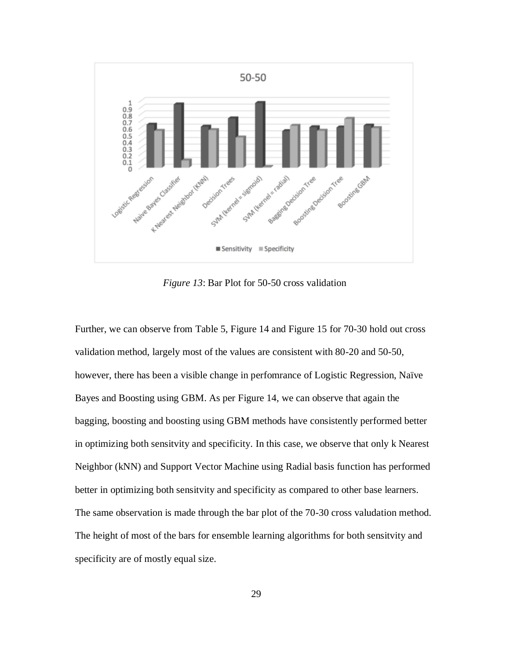

*Figure 13*: Bar Plot for 50-50 cross validation

Further, we can observe from Table 5, Figure 14 and Figure 15 for 70-30 hold out cross validation method, largely most of the values are consistent with 80-20 and 50-50, however, there has been a visible change in perfomrance of Logistic Regression, Naïve Bayes and Boosting using GBM. As per Figure 14, we can observe that again the bagging, boosting and boosting using GBM methods have consistently performed better in optimizing both sensitvity and specificity. In this case, we observe that only k Nearest Neighbor (kNN) and Support Vector Machine using Radial basis function has performed better in optimizing both sensitvity and specificity as compared to other base learners. The same observation is made through the bar plot of the 70-30 cross valudation method. The height of most of the bars for ensemble learning algorithms for both sensitvity and specificity are of mostly equal size.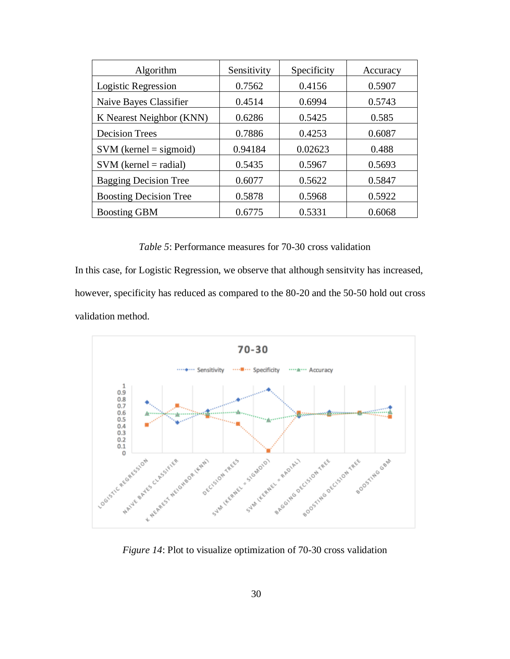| Algorithm                     | Sensitivity | Specificity | Accuracy |
|-------------------------------|-------------|-------------|----------|
| Logistic Regression           | 0.7562      | 0.4156      | 0.5907   |
| Naive Bayes Classifier        | 0.4514      | 0.6994      | 0.5743   |
| K Nearest Neighbor (KNN)      | 0.6286      | 0.5425      | 0.585    |
| <b>Decision Trees</b>         | 0.7886      | 0.4253      | 0.6087   |
| $SVM$ (kernel = sigmoid)      | 0.94184     | 0.02623     | 0.488    |
| $SVM$ (kernel = radial)       | 0.5435      | 0.5967      | 0.5693   |
| <b>Bagging Decision Tree</b>  | 0.6077      | 0.5622      | 0.5847   |
| <b>Boosting Decision Tree</b> | 0.5878      | 0.5968      | 0.5922   |
| <b>Boosting GBM</b>           | 0.6775      | 0.5331      | 0.6068   |

*Table 5*: Performance measures for 70-30 cross validation

In this case, for Logistic Regression, we observe that although sensitvity has increased, however, specificity has reduced as compared to the 80-20 and the 50-50 hold out cross validation method.



*Figure 14*: Plot to visualize optimization of 70-30 cross validation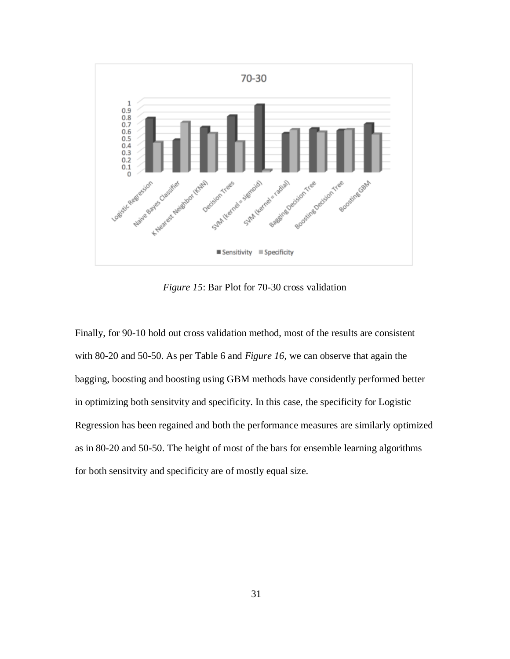

*Figure 15*: Bar Plot for 70-30 cross validation

Finally, for 90-10 hold out cross validation method, most of the results are consistent with 80-20 and 50-50. As per Table 6 and *Figure 16*, we can observe that again the bagging, boosting and boosting using GBM methods have considently performed better in optimizing both sensitvity and specificity. In this case, the specificity for Logistic Regression has been regained and both the performance measures are similarly optimized as in 80-20 and 50-50. The height of most of the bars for ensemble learning algorithms for both sensitvity and specificity are of mostly equal size.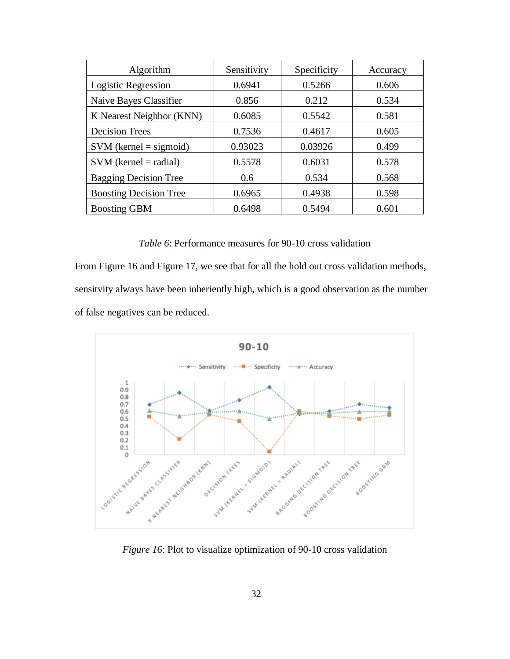| Algorithm                     | Sensitivity | Specificity | Accuracy |
|-------------------------------|-------------|-------------|----------|
| Logistic Regression           | 0.6941      | 0.5266      | 0.606    |
| Naive Bayes Classifier        | 0.856       | 0.212       | 0.534    |
| K Nearest Neighbor (KNN)      | 0.6085      | 0.5542      | 0.581    |
| <b>Decision Trees</b>         | 0.7536      | 0.4617      | 0.605    |
| $SVM$ (kernel = sigmoid)      | 0.93023     | 0.03926     | 0.499    |
| $SVM$ (kernel = radial)       | 0.5578      | 0.6031      | 0.578    |
| <b>Bagging Decision Tree</b>  | 0.6         | 0.534       | 0.568    |
| <b>Boosting Decision Tree</b> | 0.6965      | 0.4938      | 0.598    |
| <b>Boosting GBM</b>           | 0.6498      | 0.5494      | 0.601    |

*Table 6*: Performance measures for 90-10 cross validation

From Figure 16 and Figure 17, we see that for all the hold out cross validation methods, sensitvity always have been inheriently high, which is a good observation as the number of false negatives can be reduced.



*Figure 16*: Plot to visualize optimization of 90-10 cross validation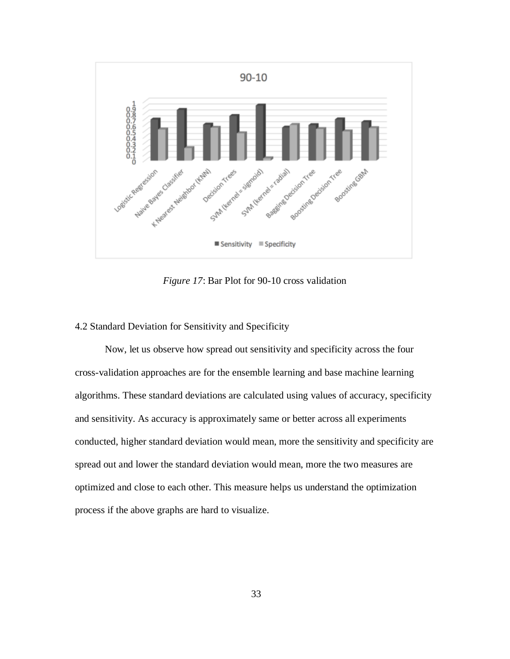

*Figure 17*: Bar Plot for 90-10 cross validation

# 4.2 Standard Deviation for Sensitivity and Specificity

Now, let us observe how spread out sensitivity and specificity across the four cross-validation approaches are for the ensemble learning and base machine learning algorithms. These standard deviations are calculated using values of accuracy, specificity and sensitivity. As accuracy is approximately same or better across all experiments conducted, higher standard deviation would mean, more the sensitivity and specificity are spread out and lower the standard deviation would mean, more the two measures are optimized and close to each other. This measure helps us understand the optimization process if the above graphs are hard to visualize.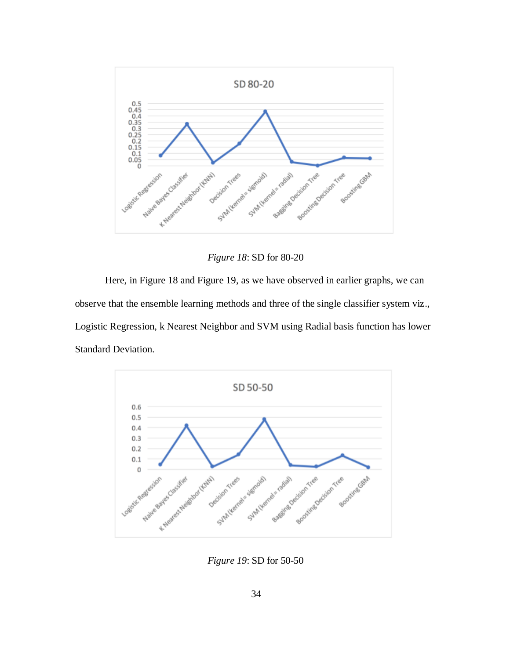

*Figure 18*: SD for 80-20

Here, in Figure 18 and Figure 19, as we have observed in earlier graphs, we can observe that the ensemble learning methods and three of the single classifier system viz., Logistic Regression, k Nearest Neighbor and SVM using Radial basis function has lower Standard Deviation.



*Figure 19*: SD for 50-50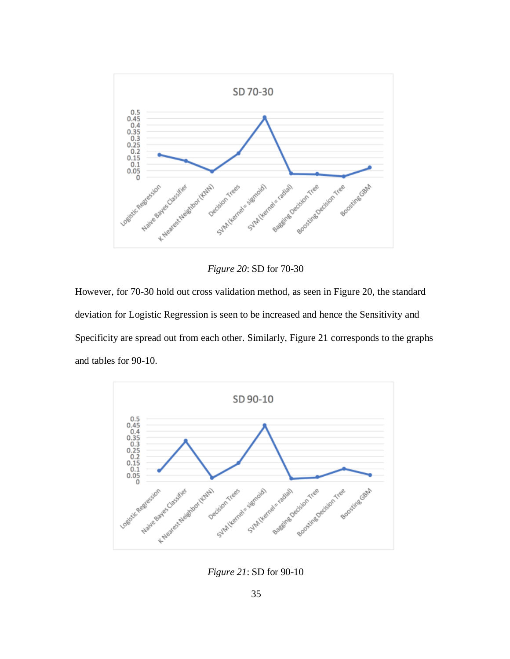

*Figure 20*: SD for 70-30

However, for 70-30 hold out cross validation method, as seen in Figure 20, the standard deviation for Logistic Regression is seen to be increased and hence the Sensitivity and Specificity are spread out from each other. Similarly, Figure 21 corresponds to the graphs and tables for 90-10.



*Figure 21*: SD for 90-10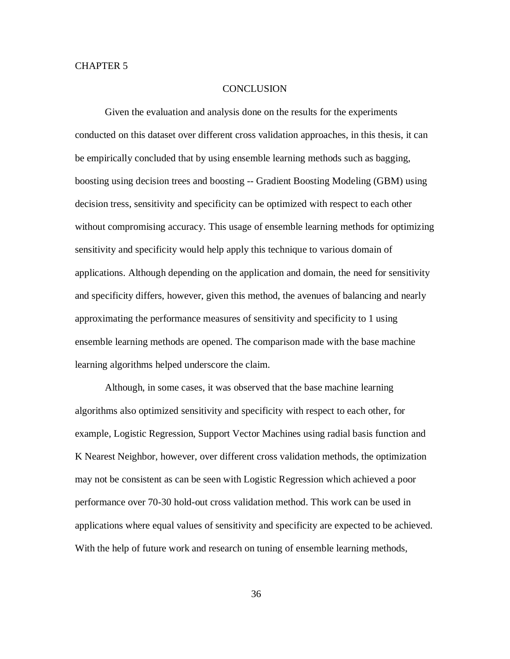### **CONCLUSION**

Given the evaluation and analysis done on the results for the experiments conducted on this dataset over different cross validation approaches, in this thesis, it can be empirically concluded that by using ensemble learning methods such as bagging, boosting using decision trees and boosting -- Gradient Boosting Modeling (GBM) using decision tress, sensitivity and specificity can be optimized with respect to each other without compromising accuracy. This usage of ensemble learning methods for optimizing sensitivity and specificity would help apply this technique to various domain of applications. Although depending on the application and domain, the need for sensitivity and specificity differs, however, given this method, the avenues of balancing and nearly approximating the performance measures of sensitivity and specificity to 1 using ensemble learning methods are opened. The comparison made with the base machine learning algorithms helped underscore the claim.

Although, in some cases, it was observed that the base machine learning algorithms also optimized sensitivity and specificity with respect to each other, for example, Logistic Regression, Support Vector Machines using radial basis function and K Nearest Neighbor, however, over different cross validation methods, the optimization may not be consistent as can be seen with Logistic Regression which achieved a poor performance over 70-30 hold-out cross validation method. This work can be used in applications where equal values of sensitivity and specificity are expected to be achieved. With the help of future work and research on tuning of ensemble learning methods,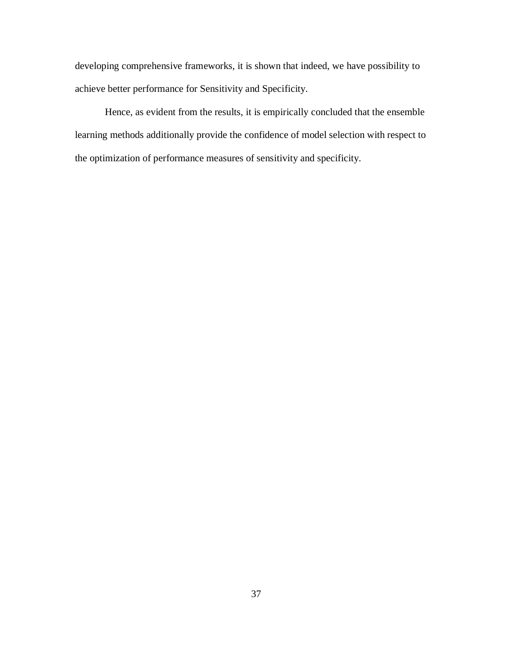developing comprehensive frameworks, it is shown that indeed, we have possibility to achieve better performance for Sensitivity and Specificity.

Hence, as evident from the results, it is empirically concluded that the ensemble learning methods additionally provide the confidence of model selection with respect to the optimization of performance measures of sensitivity and specificity.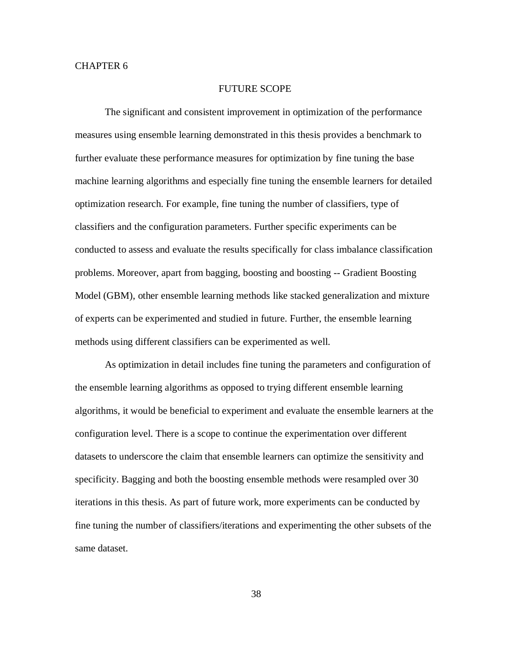### FUTURE SCOPE

The significant and consistent improvement in optimization of the performance measures using ensemble learning demonstrated in this thesis provides a benchmark to further evaluate these performance measures for optimization by fine tuning the base machine learning algorithms and especially fine tuning the ensemble learners for detailed optimization research. For example, fine tuning the number of classifiers, type of classifiers and the configuration parameters. Further specific experiments can be conducted to assess and evaluate the results specifically for class imbalance classification problems. Moreover, apart from bagging, boosting and boosting -- Gradient Boosting Model (GBM), other ensemble learning methods like stacked generalization and mixture of experts can be experimented and studied in future. Further, the ensemble learning methods using different classifiers can be experimented as well.

As optimization in detail includes fine tuning the parameters and configuration of the ensemble learning algorithms as opposed to trying different ensemble learning algorithms, it would be beneficial to experiment and evaluate the ensemble learners at the configuration level. There is a scope to continue the experimentation over different datasets to underscore the claim that ensemble learners can optimize the sensitivity and specificity. Bagging and both the boosting ensemble methods were resampled over 30 iterations in this thesis. As part of future work, more experiments can be conducted by fine tuning the number of classifiers/iterations and experimenting the other subsets of the same dataset.

38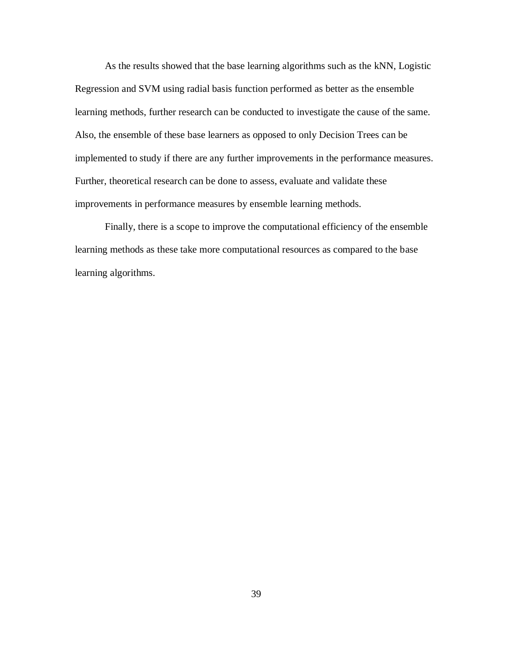As the results showed that the base learning algorithms such as the kNN, Logistic Regression and SVM using radial basis function performed as better as the ensemble learning methods, further research can be conducted to investigate the cause of the same. Also, the ensemble of these base learners as opposed to only Decision Trees can be implemented to study if there are any further improvements in the performance measures. Further, theoretical research can be done to assess, evaluate and validate these improvements in performance measures by ensemble learning methods.

Finally, there is a scope to improve the computational efficiency of the ensemble learning methods as these take more computational resources as compared to the base learning algorithms.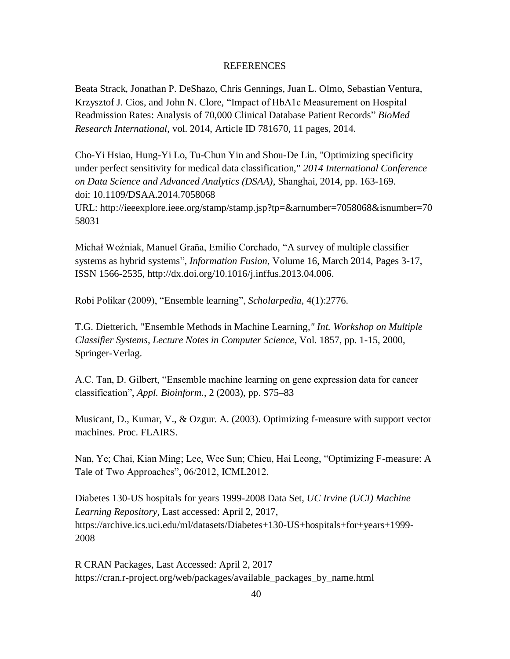#### REFERENCES

Beata Strack, Jonathan P. DeShazo, Chris Gennings, Juan L. Olmo, Sebastian Ventura, Krzysztof J. Cios, and John N. Clore, "Impact of HbA1c Measurement on Hospital Readmission Rates: Analysis of 70,000 Clinical Database Patient Records" *BioMed Research International*, vol. 2014, Article ID 781670, 11 pages, 2014.

Cho-Yi Hsiao, Hung-Yi Lo, Tu-Chun Yin and Shou-De Lin, "Optimizing specificity under perfect sensitivity for medical data classification," *2014 International Conference on Data Science and Advanced Analytics (DSAA)*, Shanghai, 2014, pp. 163-169. doi: 10.1109/DSAA.2014.7058068 URL: http://ieeexplore.ieee.org/stamp/stamp.jsp?tp=&arnumber=7058068&isnumber=70 58031

Michał Woźniak, Manuel Graña, Emilio Corchado, "A survey of multiple classifier systems as hybrid systems", *Information Fusion*, Volume 16, March 2014, Pages 3-17, ISSN 1566-2535, http://dx.doi.org/10.1016/j.inffus.2013.04.006.

Robi Polikar (2009), "Ensemble learning", *Scholarpedia*, 4(1):2776.

T.G. Dietterich, "Ensemble Methods in Machine Learning*," Int. Workshop on Multiple Classifier Systems, Lecture Notes in Computer Science*, Vol. 1857, pp. 1-15, 2000, Springer-Verlag.

A.C. Tan, D. Gilbert, "Ensemble machine learning on gene expression data for cancer classification", *Appl. Bioinform.*, 2 (2003), pp. S75–83

Musicant, D., Kumar, V., & Ozgur. A. (2003). Optimizing f-measure with support vector machines. Proc. FLAIRS.

Nan, Ye; Chai, Kian Ming; Lee, Wee Sun; Chieu, Hai Leong, "Optimizing F-measure: A Tale of Two Approaches", 06/2012, ICML2012.

Diabetes 130-US hospitals for years 1999-2008 Data Set*, UC Irvine (UCI) Machine Learning Repository*, Last accessed: April 2, 2017, https://archive.ics.uci.edu/ml/datasets/Diabetes+130-US+hospitals+for+years+1999- 2008

R CRAN Packages, Last Accessed: April 2, 2017 https://cran.r-project.org/web/packages/available\_packages\_by\_name.html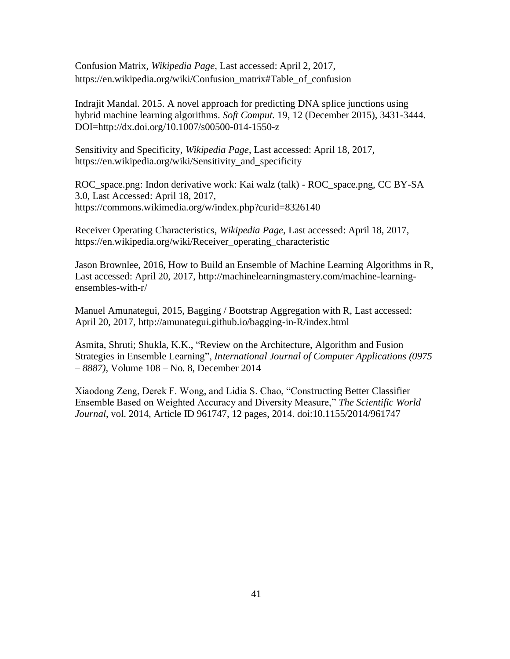Confusion Matrix, *Wikipedia Page*, Last accessed: April 2, 2017, https://en.wikipedia.org/wiki/Confusion\_matrix#Table\_of\_confusion

Indrajit Mandal. 2015. A novel approach for predicting DNA splice junctions using hybrid machine learning algorithms. *Soft Comput.* 19, 12 (December 2015), 3431-3444. DOI=http://dx.doi.org/10.1007/s00500-014-1550-z

Sensitivity and Specificity, *Wikipedia Page*, Last accessed: April 18, 2017, https://en.wikipedia.org/wiki/Sensitivity\_and\_specificity

ROC\_space.png: Indon derivative work: Kai walz (talk) - ROC\_space.png, CC BY-SA 3.0, Last Accessed: April 18, 2017, https://commons.wikimedia.org/w/index.php?curid=8326140

Receiver Operating Characteristics, *Wikipedia Page*, Last accessed: April 18, 2017, https://en.wikipedia.org/wiki/Receiver\_operating\_characteristic

Jason Brownlee, 2016, How to Build an Ensemble of Machine Learning Algorithms in R, Last accessed: April 20, 2017, http://machinelearningmastery.com/machine-learningensembles-with-r/

Manuel Amunategui, 2015, Bagging / Bootstrap Aggregation with R, Last accessed: April 20, 2017, http://amunategui.github.io/bagging-in-R/index.html

Asmita, Shruti; Shukla, K.K., "Review on the Architecture, Algorithm and Fusion Strategies in Ensemble Learning", *International Journal of Computer Applications (0975 – 8887)*, Volume 108 – No. 8, December 2014

Xiaodong Zeng, Derek F. Wong, and Lidia S. Chao, "Constructing Better Classifier Ensemble Based on Weighted Accuracy and Diversity Measure," *The Scientific World Journal*, vol. 2014, Article ID 961747, 12 pages, 2014. doi:10.1155/2014/961747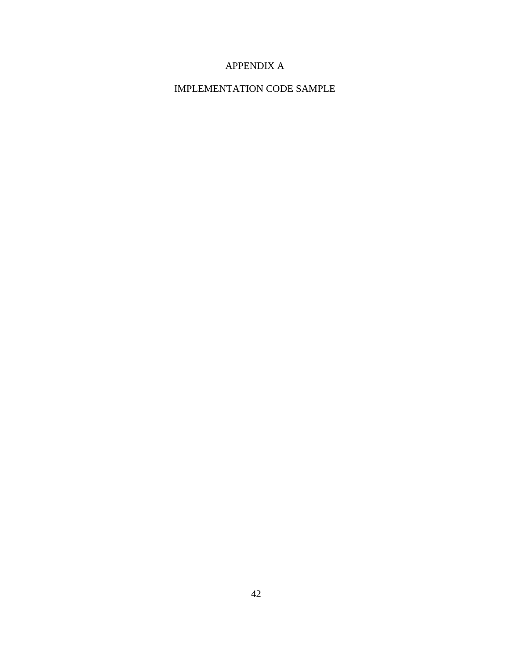# APPENDIX A

# IMPLEMENTATION CODE SAMPLE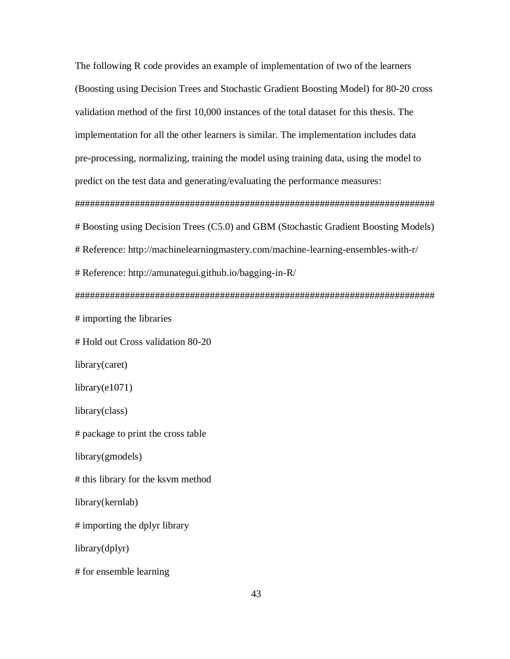The following R code provides an example of implementation of two of the learners (Boosting using Decision Trees and Stochastic Gradient Boosting Model) for 80-20 cross validation method of the first 10,000 instances of the total dataset for this thesis. The implementation for all the other learners is similar. The implementation includes data pre-processing, normalizing, training the model using training data, using the model to predict on the test data and generating/evaluating the performance measures:

########################################################################

# Boosting using Decision Trees (C5.0) and GBM (Stochastic Gradient Boosting Models)

# Reference: http://machinelearningmastery.com/machine-learning-ensembles-with-r/

# Reference: http://amunategui.github.io/bagging-in-R/

########################################################################

# importing the libraries

# Hold out Cross validation 80-20

library(caret)

library(e1071)

library(class)

# package to print the cross table

library(gmodels)

# this library for the ksvm method

library(kernlab)

# importing the dplyr library

library(dplyr)

# for ensemble learning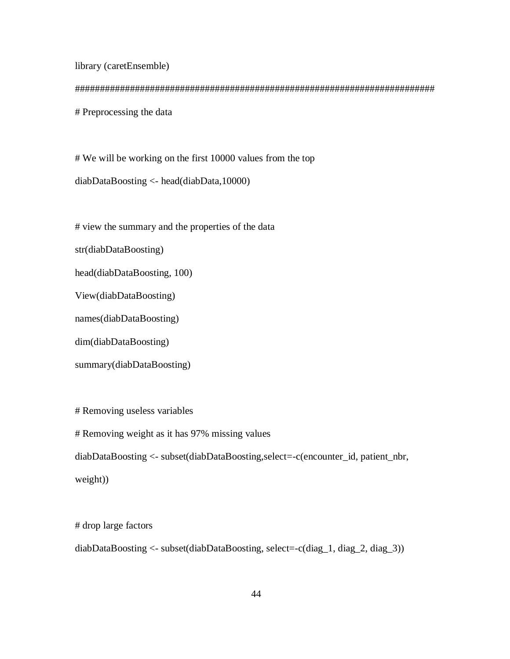library (caretEnsemble)

########################################################################

# Preprocessing the data

# We will be working on the first 10000 values from the top

diabDataBoosting <- head(diabData,10000)

# view the summary and the properties of the data

str(diabDataBoosting)

head(diabDataBoosting, 100)

View(diabDataBoosting)

names(diabDataBoosting)

dim(diabDataBoosting)

summary(diabDataBoosting)

# Removing useless variables

# Removing weight as it has 97% missing values

diabDataBoosting <- subset(diabDataBoosting,select=-c(encounter\_id, patient\_nbr,

weight))

# drop large factors

diabDataBoosting <- subset(diabDataBoosting, select=-c(diag\_1, diag\_2, diag\_3))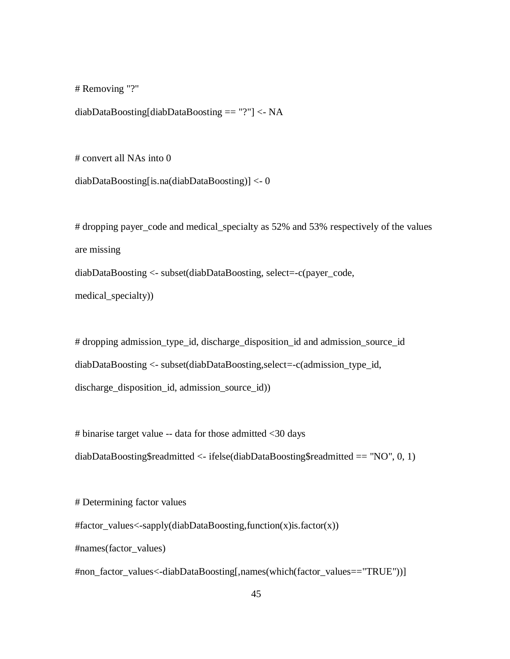# Removing "?"

diabDataBoosting[diabDataBoosting == "?"] <- NA

# convert all NAs into 0

diabDataBoosting[is.na(diabDataBoosting)] <- 0

# dropping payer\_code and medical\_specialty as 52% and 53% respectively of the values are missing diabDataBoosting <- subset(diabDataBoosting, select=-c(payer\_code,

medical\_specialty))

# dropping admission\_type\_id, discharge\_disposition\_id and admission\_source\_id diabDataBoosting <- subset(diabDataBoosting,select=-c(admission\_type\_id, discharge\_disposition\_id, admission\_source\_id))

# binarise target value -- data for those admitted <30 days diabDataBoosting\$readmitted <- ifelse(diabDataBoosting\$readmitted == "NO", 0, 1)

# Determining factor values

#factor\_values<-sapply(diabDataBoosting,function(x)is.factor(x))

#names(factor\_values)

#non\_factor\_values<-diabDataBoosting[,names(which(factor\_values=="TRUE"))]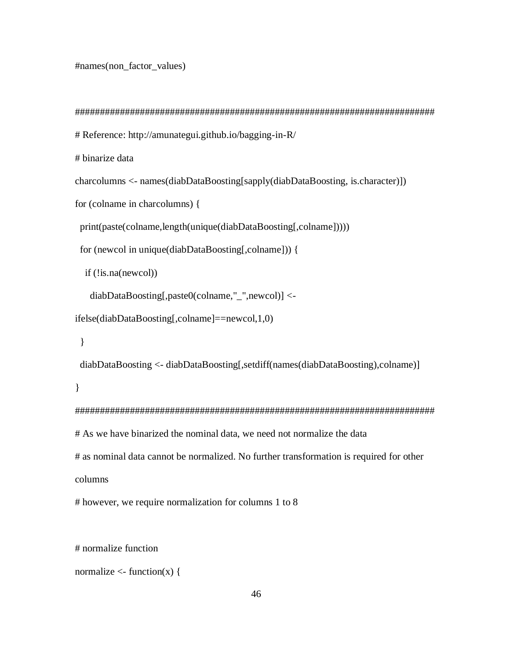```
#names(non_factor_values)
```

```
########################################################################
```
# Reference: http://amunategui.github.io/bagging-in-R/

# binarize data

```
charcolumns <- names(diabDataBoosting[sapply(diabDataBoosting, is.character)])
```
for (colname in charcolumns) {

print(paste(colname,length(unique(diabDataBoosting[,colname]))))

for (newcol in unique(diabDataBoosting[,colname])) {

if (!is.na(newcol))

diabDataBoosting[,paste0(colname,"\_",newcol)] <-

```
ifelse(diabDataBoosting[,colname]==newcol,1,0)
```
}

diabDataBoosting <- diabDataBoosting[,setdiff(names(diabDataBoosting),colname)]

######################################################################## # As we have binarized the nominal data, we need not normalize the data # as nominal data cannot be normalized. No further transformation is required for other columns

# however, we require normalization for columns 1 to 8

# normalize function

normalize  $\le$ - function(x) {

<sup>}</sup>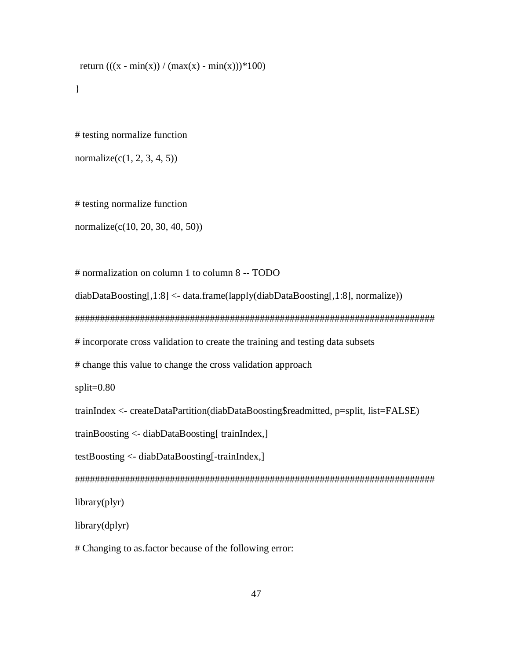```
return (((x - min(x)) / (max(x) - min(x)))*100)
}
```
# testing normalize function

normalize $(c(1, 2, 3, 4, 5))$ 

# testing normalize function

normalize(c(10, 20, 30, 40, 50))

# normalization on column 1 to column 8 -- TODO

diabDataBoosting[,1:8] <- data.frame(lapply(diabDataBoosting[,1:8], normalize))

########################################################################

# incorporate cross validation to create the training and testing data subsets

# change this value to change the cross validation approach

split=0.80

trainIndex <- createDataPartition(diabDataBoosting\$readmitted, p=split, list=FALSE)

trainBoosting <- diabDataBoosting[ trainIndex,]

testBoosting <- diabDataBoosting[-trainIndex,]

######################################################################## library(plyr)

library(dplyr)

# Changing to as.factor because of the following error: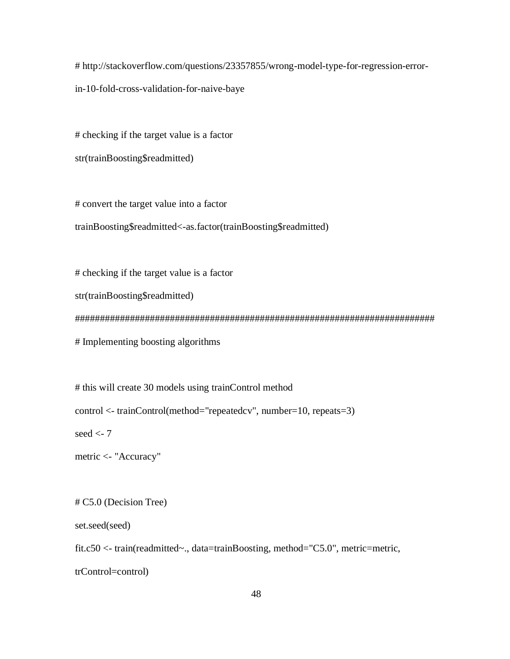# http://stackoverflow.com/questions/23357855/wrong-model-type-for-regression-error-

in-10-fold-cross-validation-for-naive-baye

# checking if the target value is a factor

str(trainBoosting\$readmitted)

# convert the target value into a factor

trainBoosting\$readmitted<-as.factor(trainBoosting\$readmitted)

# checking if the target value is a factor

str(trainBoosting\$readmitted)

########################################################################

# Implementing boosting algorithms

# this will create 30 models using trainControl method

control <- trainControl(method="repeatedcv", number=10, repeats=3)

seed  $<-7$ 

metric <- "Accuracy"

# C5.0 (Decision Tree)

set.seed(seed)

fit.c50 <- train(readmitted~., data=trainBoosting, method="C5.0", metric=metric,

trControl=control)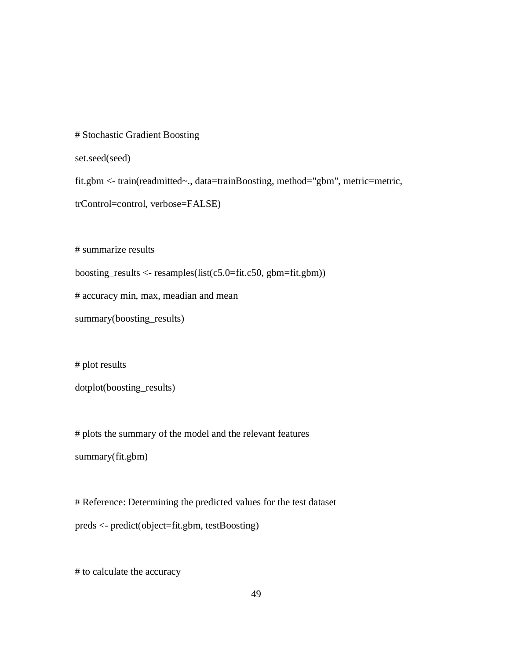```
# Stochastic Gradient Boosting
```
set.seed(seed)

fit.gbm <- train(readmitted~., data=trainBoosting, method="gbm", metric=metric,

```
trControl=control, verbose=FALSE)
```
# summarize results

boosting\_results <- resamples(list(c5.0=fit.c50, gbm=fit.gbm))

# accuracy min, max, meadian and mean

summary(boosting\_results)

# plot results

dotplot(boosting\_results)

# plots the summary of the model and the relevant features summary(fit.gbm)

# Reference: Determining the predicted values for the test dataset preds <- predict(object=fit.gbm, testBoosting)

# to calculate the accuracy